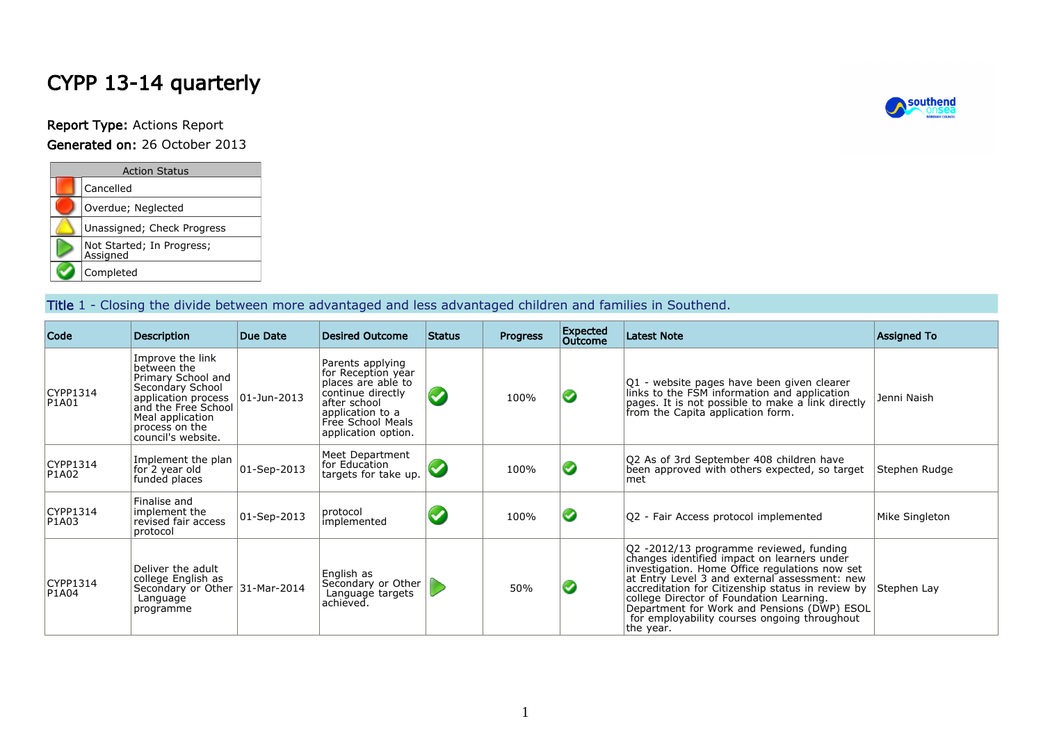# CYPP 13-14 quarterly

Report Type: Actions Report

| <b>Generated on:</b> 26 October 2013 |  |  |  |  |  |
|--------------------------------------|--|--|--|--|--|
|--------------------------------------|--|--|--|--|--|

| <b>Action Status</b>                  |  |  |  |  |  |  |  |  |  |
|---------------------------------------|--|--|--|--|--|--|--|--|--|
| Cancelled                             |  |  |  |  |  |  |  |  |  |
| Overdue; Neglected                    |  |  |  |  |  |  |  |  |  |
| Unassigned; Check Progress            |  |  |  |  |  |  |  |  |  |
| Not Started; In Progress;<br>Assigned |  |  |  |  |  |  |  |  |  |
| Completed                             |  |  |  |  |  |  |  |  |  |

#### Title 1 - Closing the divide between more advantaged and less advantaged children and families in Southend.

| Code              | <b>Description</b>                                                                                                                                                                  | Due Date                 | <b>Desired Outcome</b>                                                                                                                                            | Status | <b>Progress</b> | <b>Expected</b><br><b>Outcome</b> | <b>Latest Note</b>                                                                                                                                                                                                                                                                                                                                                                                     | <b>Assigned To</b> |
|-------------------|-------------------------------------------------------------------------------------------------------------------------------------------------------------------------------------|--------------------------|-------------------------------------------------------------------------------------------------------------------------------------------------------------------|--------|-----------------|-----------------------------------|--------------------------------------------------------------------------------------------------------------------------------------------------------------------------------------------------------------------------------------------------------------------------------------------------------------------------------------------------------------------------------------------------------|--------------------|
| CYPP1314<br>P1A01 | Improve the link<br>between the<br>Primary School and<br>Secondary School<br>application process<br>and the Free School<br>Meal application<br>process on the<br>council's website. | $ 01 - Jun - 2013 $      | Parents applying<br>for Reception year<br>places are able to<br>continue directly<br>after school<br>application to a<br>Free School Meals<br>application option. |        | 100%            | Ø                                 | Q1 - website pages have been given clearer<br>links to the FSM information and application<br>pages. It is not possible to make a link directly<br>from the Capita application form.                                                                                                                                                                                                                   | Jenni Naish        |
| CYPP1314<br>P1A02 | Implement the plan<br>for 2 year old<br>funded places                                                                                                                               | $ 01 - \text{Sep-}2013 $ | Meet Department<br>for Education<br>targets for take up.                                                                                                          |        | 100%            |                                   | Q2 As of 3rd September 408 children have<br>been approved with others expected, so target<br>met                                                                                                                                                                                                                                                                                                       | Stephen Rudge      |
| CYPP1314<br>P1A03 | Finalise and<br>implement the<br>revised fair access<br>protocol                                                                                                                    | 01-Sep-2013              | protocol<br>implemented                                                                                                                                           |        | 100%            | Ø                                 | Q2 - Fair Access protocol implemented                                                                                                                                                                                                                                                                                                                                                                  | Mike Singleton     |
| CYPP1314<br>P1A04 | Deliver the adult<br>college English as<br>Secondary or Other 31-Mar-2014<br>Language<br>programme                                                                                  |                          | English as<br>Secondary or Other<br>Language targets<br>achieved.                                                                                                 |        | 50%             |                                   | Q2 -2012/13 programme reviewed, funding<br>changes identified impact on learners under<br>investigation. Home Office regulations now set<br>at Entry Level 3 and external assessment: new<br>accreditation for Citizenship status in review by<br>college Director of Foundation Learning.<br>Department for Work and Pensions (DWP) ESOL<br>for employability courses ongoing throughout<br>the year. | Stephen Lay        |

**A** southend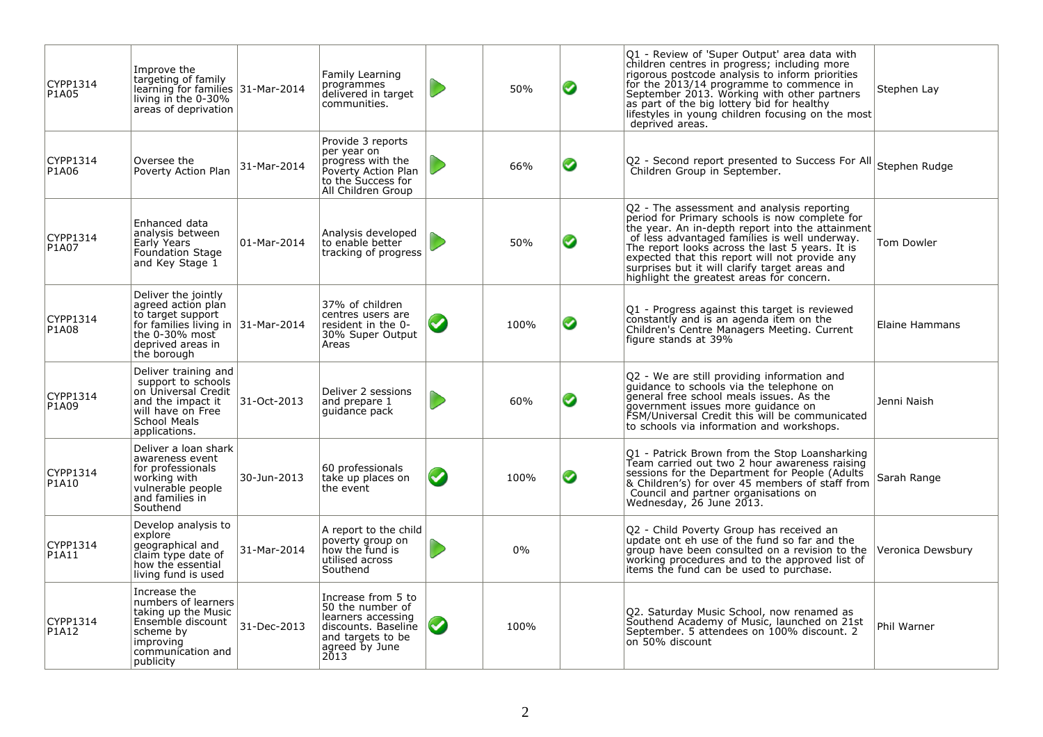| CYPP1314<br>P1A05 | Improve the<br>targeting of family<br>learning for families 31-Mar-2014<br>living in the $0-30\%$<br>areas of deprivation                                      |             | Family Learning<br>programmes<br>delivered in target<br>communities.                                                               |                            | 50%  | ◙ | Q1 - Review of 'Super Output' area data with<br>children centres in progress; including more<br>rigorous postcode analysis to inform priorities<br>for the 2013/14 programme to commence in<br>September 2013. Working with other partners<br>as part of the big lottery bid for healthy<br>lifestyles in young children focusing on the most<br>deprived areas.                                      | Stephen Lay       |
|-------------------|----------------------------------------------------------------------------------------------------------------------------------------------------------------|-------------|------------------------------------------------------------------------------------------------------------------------------------|----------------------------|------|---|-------------------------------------------------------------------------------------------------------------------------------------------------------------------------------------------------------------------------------------------------------------------------------------------------------------------------------------------------------------------------------------------------------|-------------------|
| CYPP1314<br>P1A06 | Oversee the<br>Poverty Action Plan                                                                                                                             | 31-Mar-2014 | Provide 3 reports<br>per year on<br>progress with the<br>Poverty Action Plan<br>to the Success for<br>All Children Group           |                            | 66%  | ◙ | O2 - Second report presented to Success For All Stephen Rudge<br>Children Group in September.                                                                                                                                                                                                                                                                                                         |                   |
| CYPP1314<br>P1A07 | Enhanced data<br>analysis between<br>Early Years<br><b>Foundation Stage</b><br>and Key Stage 1                                                                 | 01-Mar-2014 | Analysis developed<br>to enable better<br>tracking of progress                                                                     |                            | 50%  | ❤ | Q2 - The assessment and analysis reporting<br>period for Primary schools is now complete for<br>the year. An in-depth report into the attainment<br>of less advantaged families is well underway.<br>The report looks across the last 5 years. It is<br>expected that this report will not provide any<br>surprises but it will clarify target areas and<br>highlight the greatest areas for concern. | <b>Tom Dowler</b> |
| CYPP1314<br>P1A08 | Deliver the jointly<br>agreed action plan<br>to target support<br>for families living in $ 31$ -Mar-2014<br>the 0-30% most<br>deprived areas in<br>the borough |             | 37% of children<br>centres users are<br>resident in the 0-<br>30% Super Output<br>Areas                                            | $\blacktriangledown$       | 100% | ◙ | Q1 - Progress against this target is reviewed<br>constantly and is an agenda item on the<br>Children's Centre Managers Meeting. Current<br>figure stands at 39%                                                                                                                                                                                                                                       | Elaine Hammans    |
| CYPP1314<br>P1A09 | Deliver training and<br>support to schools<br>on Universal Credit<br>and the impact it<br>will have on Free<br>School Meals<br>applications.                   | 31-Oct-2013 | Deliver 2 sessions<br>and prepare 1<br>quidance pack                                                                               |                            | 60%  | ◙ | Q2 - We are still providing information and<br>quidance to schools via the telephone on<br>general free school meals issues. As the<br>government issues more guidance on<br>FSM/Universal Credit this will be communicated<br>to schools via information and workshops.                                                                                                                              | Jenni Naish       |
| CYPP1314<br>P1A10 | Deliver a loan shark<br>awareness event<br>for professionals<br>working with<br>vulnerable people<br>and families in<br>Southend                               | 30-Jun-2013 | 60 professionals<br>take up places on<br>the event                                                                                 | $\boldsymbol{\mathcal{G}}$ | 100% | Ø | Q1 - Patrick Brown from the Stop Loansharking<br>Team carried out two 2 hour awareness raising<br>sessions for the Department for People (Adults<br>& Children's) for over 45 members of staff from<br>Council and partner organisations on<br>Wednesday, 26 June 2013.                                                                                                                               | Sarah Range       |
| CYPP1314<br>P1A11 | Develop analysis to<br>explore<br>geographical and<br>claim type date of<br>how the essential<br>living fund is used                                           | 31-Mar-2014 | A report to the child<br>poverty group on<br>how the fund is<br>utilised across<br>Southend                                        |                            | 0%   |   | Q2 - Child Poverty Group has received an<br>update ont eh use of the fund so far and the<br>group have been consulted on a revision to the<br>working procedures and to the approved list of<br>items the fund can be used to purchase.                                                                                                                                                               | Veronica Dewsbury |
| CYPP1314<br>P1A12 | Increase the<br>numbers of learners<br>taking up the Music<br>Ensemble discount<br>scheme by<br>improving<br>communication and<br>publicity                    | 31-Dec-2013 | Increase from 5 to<br>50 the number of<br>learners accessing<br>discounts. Baseline<br>and targets to be<br>agreed by June<br>2013 |                            | 100% |   | Q2. Saturday Music School, now renamed as<br>Southend Academy of Music, launched on 21st<br>September. 5 attendees on 100% discount. 2<br>on 50% discount                                                                                                                                                                                                                                             | Phil Warner       |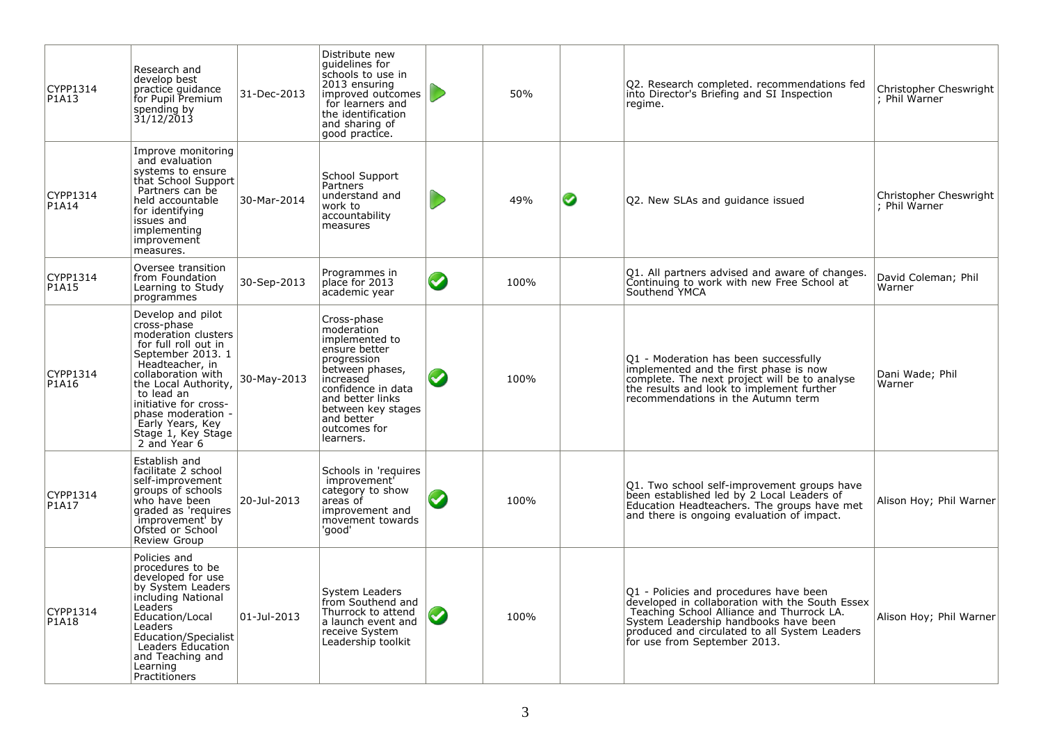| CYPP1314<br>P1A13 | Research and<br>develop best<br>practice guidance<br>for Pupil Premium<br>spending by<br>31/12/2013                                                                                                                                                                                          | 31-Dec-2013 | Distribute new<br>quidelines for<br>schools to use in<br>2013 ensuring<br>improved outcomes<br>for learners and<br>the identification<br>and sharing of<br>good practice.                                              |                      | 50%  |   | Q2. Research completed. recommendations fed<br>into Director's Briefing and SI Inspection<br>regime.                                                                                                                                                             | Christopher Cheswright<br>: Phil Warner |
|-------------------|----------------------------------------------------------------------------------------------------------------------------------------------------------------------------------------------------------------------------------------------------------------------------------------------|-------------|------------------------------------------------------------------------------------------------------------------------------------------------------------------------------------------------------------------------|----------------------|------|---|------------------------------------------------------------------------------------------------------------------------------------------------------------------------------------------------------------------------------------------------------------------|-----------------------------------------|
| CYPP1314<br>P1A14 | Improve monitoring<br>and evaluation<br>systems to ensure<br>that School Support<br>Partners can be<br>held accountable<br>for identifving<br>issues and<br>implementing<br>improvement<br>measures.                                                                                         | 30-Mar-2014 | School Support<br>Partners<br>understand and<br>work to<br>accountability<br>measures                                                                                                                                  |                      | 49%  | ◙ | Q2. New SLAs and guidance issued                                                                                                                                                                                                                                 | Christopher Cheswright<br>: Phil Warner |
| CYPP1314<br>P1A15 | Oversee transition<br>from Foundation<br>Learning to Study<br>programmes                                                                                                                                                                                                                     | 30-Sep-2013 | Programmes in<br>place for 2013<br>academic year                                                                                                                                                                       | $\bullet$            | 100% |   | Q1. All partners advised and aware of changes.<br>Continuing to work with new Free School at<br>Southend YMCA                                                                                                                                                    | David Coleman; Phil<br>Warner           |
| CYPP1314<br>P1A16 | Develop and pilot<br>cross-phase<br>moderation clusters<br>for full roll out in<br>September 2013. 1<br>Headteacher, in<br>collaboration with<br>the Local Authority,<br>to lead an<br>initiative for cross-<br>phase moderation -<br>Early Years, Key<br>Stage 1, Key Stage<br>2 and Year 6 | 30-May-2013 | Cross-phase<br>moderation<br>implemented to<br>ensure better<br>progression<br>between phases,<br>increased<br>confidence in data<br>and better links<br>between key stages<br>and better<br>outcomes for<br>learners. | $\blacktriangledown$ | 100% |   | Q1 - Moderation has been successfully<br>implemented and the first phase is now<br>complete. The next project will be to analyse<br>the results and look to implement further<br>recommendations in the Autumn term                                              | Dani Wade; Phil<br>Warner               |
| CYPP1314<br>P1A17 | Establish and<br>facilitate 2 school<br>self-improvement<br>groups of schools<br>who have been<br>graded as 'requires<br>improvement' by<br>Ofsted or School<br>Review Group                                                                                                                 | 20-Jul-2013 | Schools in 'requires<br>improvement'<br>category to show<br>areas of<br>improvement and<br>movement towards<br>'aood'                                                                                                  | $\blacktriangledown$ | 100% |   | Q1. Two school self-improvement groups have<br>been established led by 2_Local Leaders of<br>Education Headteachers. The groups have met<br>and there is ongoing evaluation of impact.                                                                           | Alison Hoy; Phil Warner                 |
| CYPP1314<br>P1A18 | Policies and<br>procedures to be<br>developed for use<br>by System Leaders<br>including National<br>Leaders <sup>®</sup><br>Education/Local<br>Leaders<br>Education/Specialist<br>Leaders Education<br>and Teaching and<br>Learning<br>Practitioners                                         | 01-Jul-2013 | System Leaders<br>from Southend and<br>Thurrock to attend<br>a launch event and<br>receive System<br>Leadership toolkit                                                                                                | $\bullet$            | 100% |   | Q1 - Policies and procedures have been<br>developed in collaboration with the South Essex<br>Teaching School Alliance and Thurrock LA.<br>System Leadership handbooks have been<br>produced and circulated to all System Leaders<br>for use from September 2013. | Alison Hoy; Phil Warner                 |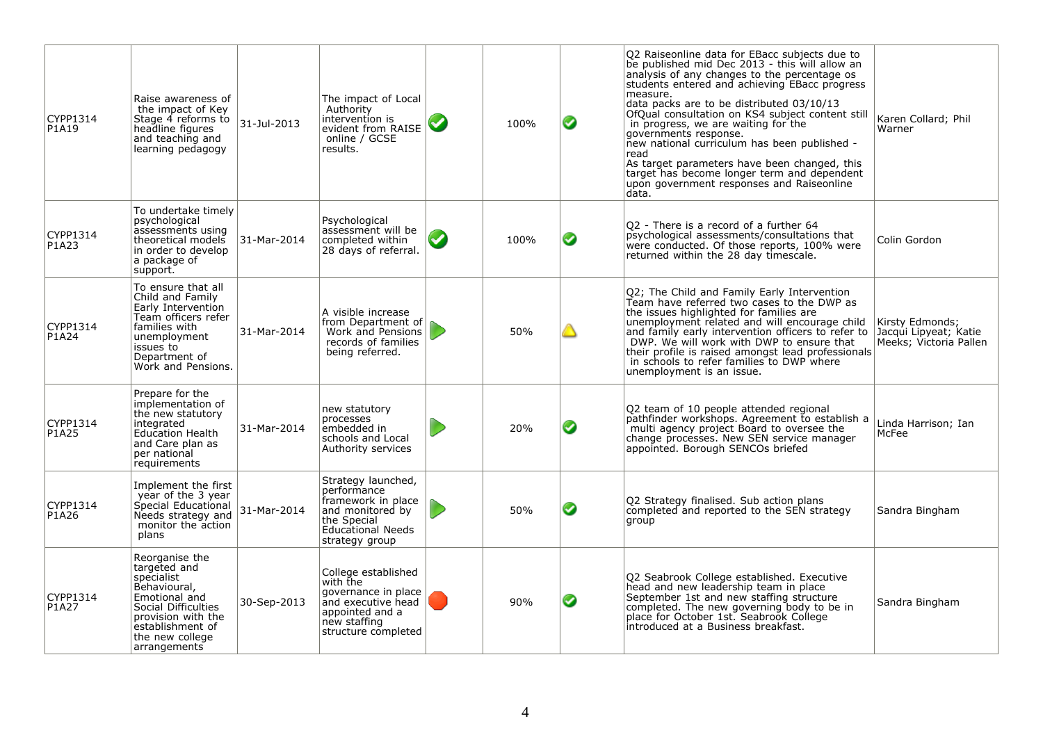| CYPP1314<br>P1A19 | Raise awareness of<br>the impact of Key<br>Stage 4 reforms to<br>headline figures<br>and teaching and<br>learning pedagogy                                                        | 31-Jul-2013 | The impact of Local<br>Authority<br>intervention is<br>evident from RAISE<br>online / GCSE<br>results.                                   |                       | 100% | ◙ | Q2 Raiseonline data for EBacc subjects due to<br>be published mid Dec 2013 - this will allow an<br>analysis of any changes to the percentage os<br>students entered and achieving EBacc progress<br>measure.<br>data packs are to be distributed 03/10/13<br>OfQual consultation on KS4 subject content still<br>in progress, we are waiting for the<br>governments response.<br>new national curriculum has been published -<br>read<br>As target parameters have been changed, this<br>target has become longer term and dependent<br>upon government responses and Raiseonline<br>data. | Karen Collard; Phil<br>Warner                                      |
|-------------------|-----------------------------------------------------------------------------------------------------------------------------------------------------------------------------------|-------------|------------------------------------------------------------------------------------------------------------------------------------------|-----------------------|------|---|--------------------------------------------------------------------------------------------------------------------------------------------------------------------------------------------------------------------------------------------------------------------------------------------------------------------------------------------------------------------------------------------------------------------------------------------------------------------------------------------------------------------------------------------------------------------------------------------|--------------------------------------------------------------------|
| CYPP1314<br>P1A23 | To undertake timely<br>psychological<br>assessments using<br>theoretical models<br>in order to develop<br>a package of<br>support.                                                | 31-Mar-2014 | Psychological<br>assessment will be<br>completed within<br>28 days of referral.                                                          | $\boldsymbol{\omega}$ | 100% | ◙ | Q2 - There is a record of a further 64<br>psychological assessments/consultations that<br>were conducted. Of those reports, 100% were<br>returned within the 28 day timescale.                                                                                                                                                                                                                                                                                                                                                                                                             | Colin Gordon                                                       |
| CYPP1314<br>P1A24 | To ensure that all<br>Child and Family<br>Early Intervention<br>Team officers refer<br>families with<br>unemployment<br>issues to<br>Department of<br>Work and Pensions.          | 31-Mar-2014 | A visible increase<br>from Department of $\int$<br>Work and Pensions<br>records of families<br>being referred.                           |                       | 50%  |   | Q2; The Child and Family Early Intervention<br>Team have referred two cases to the DWP as<br>the issues highlighted for families are<br>unemployment related and will encourage child<br>and family early intervention officers to refer to<br>DWP. We will work with DWP to ensure that<br>their profile is raised amongst lead professionals<br>in schools to refer families to DWP where<br>unemployment is an issue.                                                                                                                                                                   | Kirsty Edmonds;<br>Jacqui Lipyeat; Katie<br>Meeks; Victoria Pallen |
| CYPP1314<br>P1A25 | Prepare for the<br>implementation of<br>the new statutory<br>integrated<br><b>Education Health</b><br>and Care plan as<br>per national<br>requirements                            | 31-Mar-2014 | new statutory<br>processes<br>embedded in<br>schools and Local<br>Authority services                                                     |                       | 20%  | ◙ | Q2 team of 10 people attended regional<br>pathfinder workshops. Agreement to establish a<br>multi agency project Board to oversee the<br>change processes. New SEN service manager<br>appointed. Borough SENCOs briefed                                                                                                                                                                                                                                                                                                                                                                    | Linda Harrison; Ian<br>McFee                                       |
| CYPP1314<br>P1A26 | Implement the first<br>year of the 3 year<br>Special Educational<br>Needs strategy and<br>monitor the action<br>plans                                                             | 31-Mar-2014 | Strategy launched,<br>performance<br>framework in place<br>and monitored by<br>the Special<br><b>Educational Needs</b><br>strategy group |                       | 50%  | ◙ | Q2 Strategy finalised. Sub action plans<br>completed and reported to the SEN strategy<br>group                                                                                                                                                                                                                                                                                                                                                                                                                                                                                             | Sandra Bingham                                                     |
| CYPP1314<br>P1A27 | Reorganise the<br>targeted and<br>specialist<br>Behavioural,<br>Emotional and<br>Social Difficulties<br>provision with the<br>establishment of<br>the new college<br>arrangements | 30-Sep-2013 | College established<br>with the<br>governance in place<br>and executive head<br>appointed and a<br>new staffing<br>structure completed   |                       | 90%  | ◙ | Q2 Seabrook College established. Executive<br>head and new leadership team in place<br>September 1st and new staffing structure<br>completed. The new governing body to be in<br>place for October 1st. Seabrook College<br>introduced at a Business breakfast.                                                                                                                                                                                                                                                                                                                            | Sandra Bingham                                                     |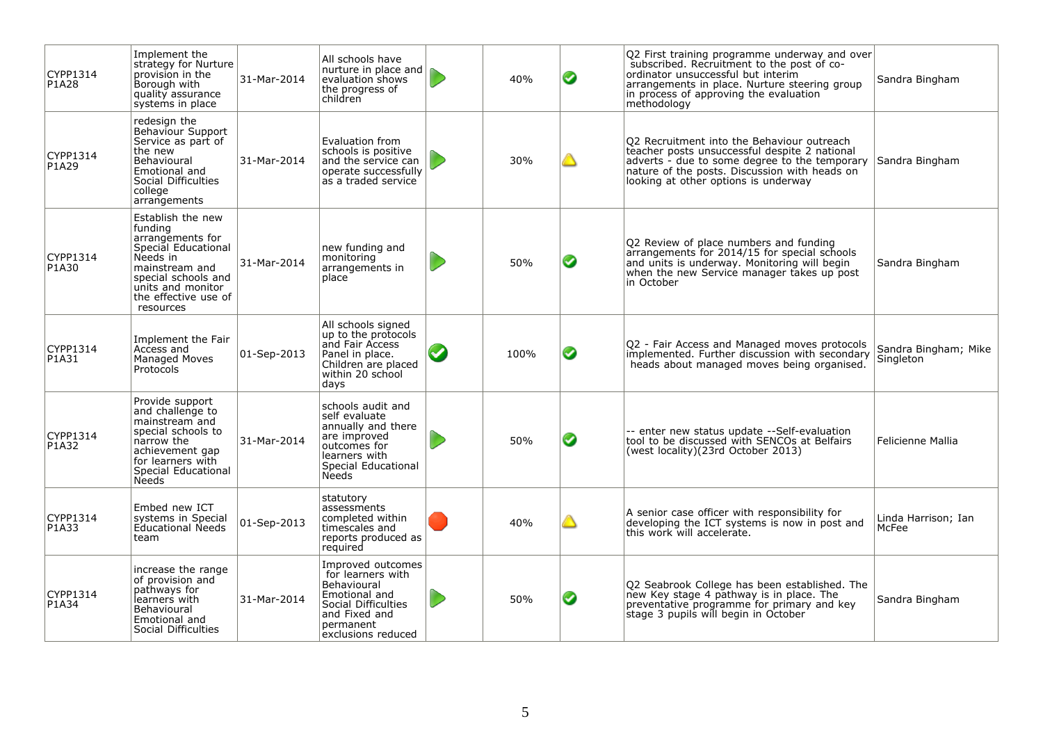| CYPP1314<br>P1A28 | Implement the<br>strategy for Nurture<br>provisión in the<br>Borough with<br>quality assurance<br>systems in place                                                                     | 31-Mar-2014 | All schools have<br>nurture in place and<br>evaluation shows<br>the progress of<br>children                                                       | 40%  | ◙ | Q2 First training programme underway and over<br>subscribed. Recruitment to the post of co-<br>ordinator unsuccessful but interim<br>arrangements in place. Nurture steering group<br>in process of approving the evaluation<br>methodology | Sandra Bingham                    |
|-------------------|----------------------------------------------------------------------------------------------------------------------------------------------------------------------------------------|-------------|---------------------------------------------------------------------------------------------------------------------------------------------------|------|---|---------------------------------------------------------------------------------------------------------------------------------------------------------------------------------------------------------------------------------------------|-----------------------------------|
| CYPP1314<br>P1A29 | redesign the<br>Behaviour Support<br>Service as part of<br>the new<br>Behavioural<br>Emotional and<br>Social Difficulties<br>college<br>arrangements                                   | 31-Mar-2014 | Evaluation from<br>schools is positive<br>and the service can<br>operate successfully<br>as a traded service                                      | 30%  |   | Q2 Recruitment into the Behaviour outreach<br>teacher posts unsuccessful despite 2 national<br>adverts - due to some degree to the temporary<br>nature of the posts. Discussion with heads on<br>looking at other options is underway       | Sandra Bingham                    |
| CYPP1314<br>P1A30 | Establish the new<br>fundina<br>arrangements for<br>Special Educational<br>Needs in<br>mainstream and<br>special schools and<br>units and monitor<br>the effective use of<br>resources | 31-Mar-2014 | new funding and<br>monitoring<br>arrangements in<br>place                                                                                         | 50%  | ◙ | Q2 Review of place numbers and funding<br>arrangements for 2014/15 for special schools<br>and units is underway. Monitoring will begin<br>when the new Service manager takes up post<br>in October                                          | Sandra Bingham                    |
| CYPP1314<br>P1A31 | Implement the Fair<br>Access and<br>Managed Moves<br>Protocols                                                                                                                         | 01-Sep-2013 | All schools sianed<br>up to the protocols<br>and Fair Access<br>Panel in place.<br>Children are placed<br>within 20 school<br>days                | 100% | ◙ | Q2 - Fair Access and Managed moves protocols<br>implemented. Further discussion with secondary<br>heads about managed moves being organised.                                                                                                | Sandra Bingham; Mike<br>Singleton |
| CYPP1314<br>P1A32 | Provide support<br>and challenge to<br>mainstream and<br>special schools to<br>narrow the<br>achievement gap<br>for learners with<br>Special Educational<br><b>Needs</b>               | 31-Mar-2014 | schools audit and<br>self evaluate<br>annually and there<br>are improved<br>outcomes for<br>learners with<br>Special Educational<br><b>Needs</b>  | 50%  | Ø | -- enter new status update --Self-evaluation<br>tool to be discussed with SENCOs at Belfairs<br>(west locality)(23rd October 2013)                                                                                                          | Felicienne Mallia                 |
| CYPP1314<br>P1A33 | Embed new ICT<br>systems in Special<br>Educational Needs<br>team                                                                                                                       | 01-Sep-2013 | statutory<br>assessments<br>completed within<br>timescales and<br>reports produced as<br>required                                                 | 40%  |   | A senior case officer with responsibility for<br>developing the ICT systems is now in post and<br>this work will accelerate.                                                                                                                | Linda Harrison; Ian<br>McFee      |
| CYPP1314<br>P1A34 | increase the range<br>of provision and<br>pathways for<br>learners with<br>Behavioural<br>Emotional and<br>Social Difficulties                                                         | 31-Mar-2014 | Improved outcomes<br>for learners with<br>Behavioural<br>Emotional and<br>Social Difficulties<br>and Fixed and<br>permanent<br>exclusions reduced | 50%  | Ø | Q2 Seabrook College has been established. The<br>new Key stage 4 pathway is in place. The<br>preventative programme for primary and key<br>stage 3 pupils will begin in October                                                             | Sandra Bingham                    |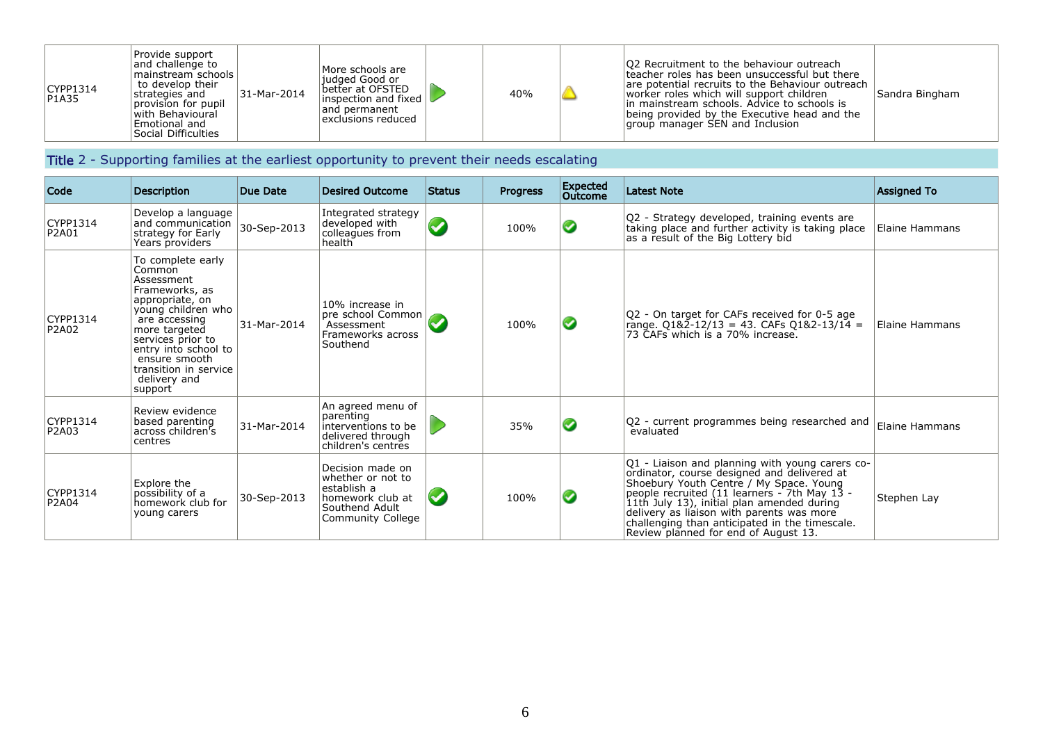| CYPP1314<br>PIA35 | Provide support<br>and challenge to<br>mainstream schools l<br>to develop their<br>strategies and<br>provision for pupil<br>with Behavioural<br>Emotional and | 31-Mar-2014 | More schools are<br>liudaed Good or<br>better at OFSTED<br>$\vert$ inspection and fixed $\vert\hspace{0.4mm}\vert$<br>and permanent<br>exclusions reduced | 40% | <b>Q2</b> Recruitment to the behaviour outreach<br>teacher roles has been unsuccessful but there<br>are potential recruits to the Behaviour outreach<br>worker roles which will support children<br>lin mainstream schools. Advice to schools is<br>being provided by the Executive head and the<br>group manager SEN and Inclusion | Sandra Bingham |
|-------------------|---------------------------------------------------------------------------------------------------------------------------------------------------------------|-------------|-----------------------------------------------------------------------------------------------------------------------------------------------------------|-----|-------------------------------------------------------------------------------------------------------------------------------------------------------------------------------------------------------------------------------------------------------------------------------------------------------------------------------------|----------------|
|                   | Social Difficulties                                                                                                                                           |             |                                                                                                                                                           |     |                                                                                                                                                                                                                                                                                                                                     |                |

### Title 2 - Supporting families at the earliest opportunity to prevent their needs escalating

| Code              | <b>Description</b>                                                                                                                                                                                                                                       | Due Date    | <b>Desired Outcome</b>                                                                                          | <b>Status</b> | <b>Progress</b> | <b>Expected</b><br>Outcome | <b>Latest Note</b>                                                                                                                                                                                                                                                                                                                                                             | <b>Assigned To</b> |
|-------------------|----------------------------------------------------------------------------------------------------------------------------------------------------------------------------------------------------------------------------------------------------------|-------------|-----------------------------------------------------------------------------------------------------------------|---------------|-----------------|----------------------------|--------------------------------------------------------------------------------------------------------------------------------------------------------------------------------------------------------------------------------------------------------------------------------------------------------------------------------------------------------------------------------|--------------------|
| CYPP1314<br>P2A01 | Develop a language<br>and communication<br>strategy for Early<br>Years providers                                                                                                                                                                         | 30-Sep-2013 | Integrated strategy<br>developed with<br>colleagues from<br>health                                              | $\bullet$     | 100%            | ◙                          | Q2 - Strategy developed, training events are<br>taking place and further activity is taking place<br>as a result of the Big Lottery bid                                                                                                                                                                                                                                        | Elaine Hammans     |
| CYPP1314<br>P2A02 | To complete early<br>Common<br>Assessment<br>Frameworks, as<br>appropriate, on<br>young children who<br>are accessing<br>more targeted<br>services prior to<br>entry into school to<br>ensure smooth<br>transition in service<br>delivery and<br>support | 31-Mar-2014 | 10% increase in<br>pre school Common  <br>Assessment<br>Frameworks across<br>Southend                           |               | 100%            | ◙                          | Q2 - On target for CAFs received for 0-5 age<br>range. Q1&2-12/13 = 43. CAFs Q1&2-13/14 =<br>73 CAFs which is a 70% increase.                                                                                                                                                                                                                                                  | Elaine Hammans     |
| CYPP1314<br>P2A03 | Review evidence<br>based parenting<br>across children's<br>centres                                                                                                                                                                                       | 31-Mar-2014 | An agreed menu of<br>parenting<br>interventions to be<br>delivered through<br>children's centres                |               | 35%             | ◙                          | Q2 - current programmes being researched and<br>evaluated                                                                                                                                                                                                                                                                                                                      | Elaine Hammans     |
| CYPP1314<br>P2A04 | Explore the<br>possibility of a<br>homework club for<br>young carers                                                                                                                                                                                     | 30-Sep-2013 | Decision made on<br>whether or not to<br>establish a<br>homework club at<br>Southend Adult<br>Community College |               | 100%            | ◙                          | Q1 - Liaison and planning with young carers co-<br>ordinator, course designed and delivered at<br>Shoebury Youth Centre / My Space. Young<br>people recruited (11 learners - 7th May 13 -<br>11th July 13), initial plan amended during<br>delivery as liaison with parents was more<br>challenging than anticipated in the timescale.<br>Review planned for end of August 13. | Stephen Lay        |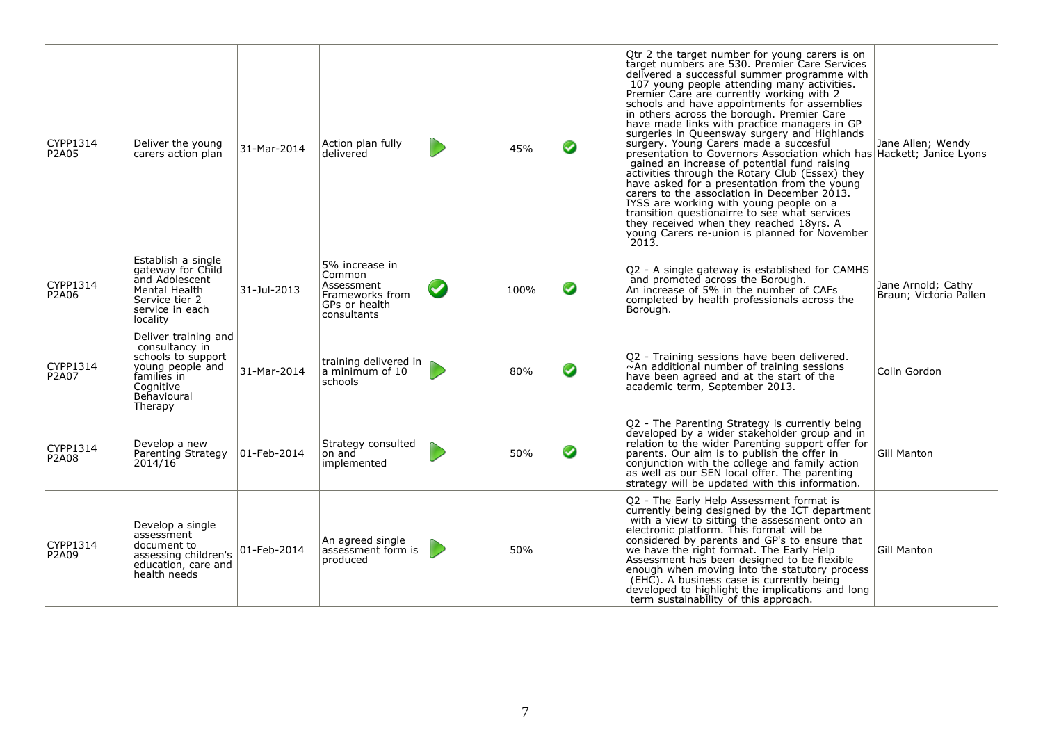| CYPP1314<br><b>P2A05</b> | Deliver the young<br>carers action plan                                                                                                | 31-Mar-2014     | Action plan fully<br>delivered                                                            |                       | 45%  | ◙ | Qtr 2 the target number for young carers is on<br>target numbers are 530. Premier Care Services<br>delivered a successful summer programme with<br>107 young people attending many activities.<br>Premier Care are currently working with 2<br>schools and have appointments for assemblies<br>in others across the borough. Premier Care<br>have made links with practice managers in GP<br>surgeries in Queensway surgery and Highlands<br>surgery. Young Carers made a succesful<br>presentation to Governors Association which has Hackett; Janice Lyons<br>gained an increase of potential fund raising<br>activities through the Rotary Club (Essex) they<br>have asked for a presentation from the young<br>carers to the association in December 2013.<br>IYSS are working with young people on a<br>transition questionairre to see what services<br>they received when they reached 18yrs. A<br>young Carers re-union is planned for November<br>2013. | Jane Allen; Wendy                            |
|--------------------------|----------------------------------------------------------------------------------------------------------------------------------------|-----------------|-------------------------------------------------------------------------------------------|-----------------------|------|---|------------------------------------------------------------------------------------------------------------------------------------------------------------------------------------------------------------------------------------------------------------------------------------------------------------------------------------------------------------------------------------------------------------------------------------------------------------------------------------------------------------------------------------------------------------------------------------------------------------------------------------------------------------------------------------------------------------------------------------------------------------------------------------------------------------------------------------------------------------------------------------------------------------------------------------------------------------------|----------------------------------------------|
| CYPP1314<br>P2A06        | Establish a single<br>gateway for Child<br>and Adolescent<br>Mental Health<br>Service tier 2<br>service in each<br>locality            | 31-Jul-2013     | 5% increase in<br>Common<br>Assessment<br>Frameworks from<br>GPs or health<br>consultants | $\boldsymbol{\omega}$ | 100% | ◙ | Q2 - A single gateway is established for CAMHS<br>and promoted across the Borough.<br>An increase of 5% in the number of CAFs<br>completed by health professionals across the<br>Borough.                                                                                                                                                                                                                                                                                                                                                                                                                                                                                                                                                                                                                                                                                                                                                                        | Jane Arnold: Cathy<br>Braun; Victoria Pallen |
| CYPP1314<br>P2A07        | Deliver training and<br>consultancy in<br>schools to support<br>young people and<br>families in<br>Cognitive<br>Behavioural<br>Therapy | 31-Mar-2014     | training delivered in<br>a minimum of 10<br>schools                                       |                       | 80%  | ◙ | Q2 - Training sessions have been delivered.<br>$\sim$ An additional number of training sessions<br>have been agreed and at the start of the<br>academic term, September 2013.                                                                                                                                                                                                                                                                                                                                                                                                                                                                                                                                                                                                                                                                                                                                                                                    | Colin Gordon                                 |
| CYPP1314<br>P2A08        | Develop a new<br>Parenting Strategy<br>2014/16                                                                                         | $ 01$ -Feb-2014 | Strategy consulted<br>on and<br>implemented                                               |                       | 50%  | ◙ | Q2 - The Parenting Strategy is currently being<br>developed by a wider stakeholder group and in<br>relation to the wider Parenting support offer for<br>parents. Our aim is to publish the offer in<br>conjunction with the college and family action<br>as well as our SEN local offer. The parenting<br>strategy will be updated with this information.                                                                                                                                                                                                                                                                                                                                                                                                                                                                                                                                                                                                        | <b>Gill Manton</b>                           |
| CYPP1314<br>P2A09        | Develop a single<br>assessment<br>document to<br>assessing children's<br>education, care and<br>health needs                           | 01-Feb-2014     | An agreed single<br>assessment form is<br>produced                                        |                       | 50%  |   | Q2 - The Early Help Assessment format is<br>currently being designed by the ICT department<br>with a view to sitting the assessment onto an<br>electronic platform. This format will be<br>considered by parents and GP's to ensure that<br>we have the right format. The Early Help<br>Assessment has been designed to be flexible<br>enough when moving into the statutory process<br>(EHC). A business case is currently being<br>developed to highlight the implications and long<br>term sustainability of this approach.                                                                                                                                                                                                                                                                                                                                                                                                                                   | Gill Manton                                  |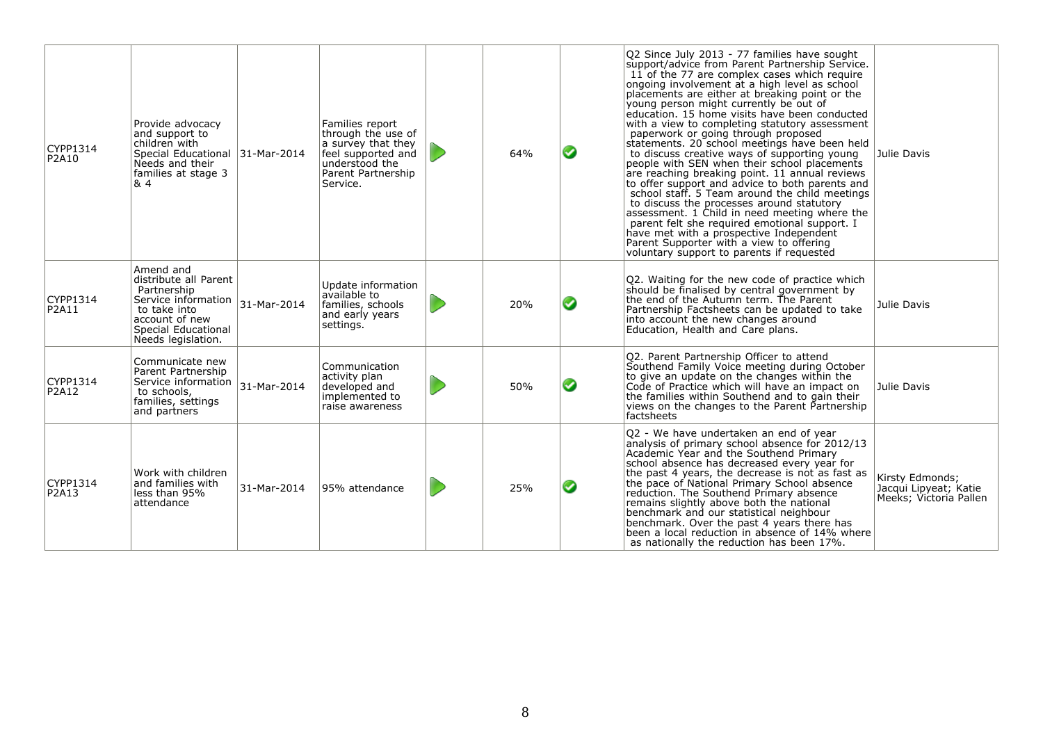| CYPP1314<br>P2A10 | Provide advocacy<br>and support to<br>children with<br>Special Educational 31-Mar-2014<br>Needs and their<br>families at stage 3<br>8.4                 |             | Families report<br>through the use of<br>a survey that they<br>feel supported and<br>understood the<br>Parent Partnership<br>Service. | 64% | ◙ | Q2 Since July 2013 - 77 families have sought<br>support/advice from Parent Partnership Service.<br>11 of the 77 are complex cases which require<br>ongoing involvement at a high level as school<br>placements are either at breaking point or the<br>young person might currently be out of<br>education. 15 home visits have been conducted<br>with a view to completing statutory assessment<br>paperwork or going through proposed<br>statements. 20 school meetings have been held<br>to discuss creative ways of supporting young<br>people with SEN when their school placements<br>are reaching breaking point. 11 annual reviews<br>to offer support and advice to both parents and<br>school staff. 5 Team around the child meetings<br>to discuss the processes around statutory<br>assessment. 1 Child in need meeting where the<br>parent felt she required emotional support. I<br>have met with a prospective Independent<br>Parent Supporter with a view to offering<br>voluntary support to parents if requested | Julie Davis                                                        |
|-------------------|---------------------------------------------------------------------------------------------------------------------------------------------------------|-------------|---------------------------------------------------------------------------------------------------------------------------------------|-----|---|-----------------------------------------------------------------------------------------------------------------------------------------------------------------------------------------------------------------------------------------------------------------------------------------------------------------------------------------------------------------------------------------------------------------------------------------------------------------------------------------------------------------------------------------------------------------------------------------------------------------------------------------------------------------------------------------------------------------------------------------------------------------------------------------------------------------------------------------------------------------------------------------------------------------------------------------------------------------------------------------------------------------------------------|--------------------------------------------------------------------|
| CYPP1314<br>P2A11 | Amend and<br>distribute all Parent<br>Partnership<br>Service information<br>to take into<br>account of new<br>Special Educational<br>Needs legislation. | 31-Mar-2014 | Update information<br>available to<br>families, schools<br>and early years<br>settings.                                               | 20% | ◙ | Q2. Waiting for the new code of practice which<br>should be finalised by central government by<br>the end of the Autumn term. The Parent<br>Partnership Factsheets can be updated to take<br>into account the new changes around<br>Education, Health and Care plans.                                                                                                                                                                                                                                                                                                                                                                                                                                                                                                                                                                                                                                                                                                                                                             | Julie Davis                                                        |
| CYPP1314<br>P2A12 | Communicate new<br>Parent Partnership<br>Service information<br>to schools,<br>families, settings<br>and partners                                       | 31-Mar-2014 | Communication<br>activity plan<br>developed and<br>implemented to<br>raise awareness                                                  | 50% | ◙ | Q2. Parent Partnership Officer to attend<br>Southend Family Voice meeting during October<br>to give an update on the changes within the<br>Code of Practice which will have an impact on<br>the families within Southend and to gain their<br>views on the changes to the Parent Partnership<br>factsheets                                                                                                                                                                                                                                                                                                                                                                                                                                                                                                                                                                                                                                                                                                                        | Julie Davis                                                        |
| CYPP1314<br>P2A13 | Work with children<br>and families with<br>less than 95%<br>attendance                                                                                  | 31-Mar-2014 | 95% attendance                                                                                                                        | 25% | ◙ | Q2 - We have undertaken an end of year<br>analysis of primary school absence for 2012/13<br>Academic Year and the Southend Primary<br>school absence has decreased every year for<br>the past 4 years, the decrease is not as fast as<br>the pace of National Primary School absence<br>reduction. The Southend Primary absence<br>remains slightly above both the national<br>benchmark and our statistical neighbour<br>benchmark. Over the past 4 years there has<br>been a local reduction in absence of 14% where<br>as nationally the reduction has been 17%.                                                                                                                                                                                                                                                                                                                                                                                                                                                               | Kirsty Edmonds;<br>Jacqui Lipyeat; Katie<br>Meeks; Victoria Pallen |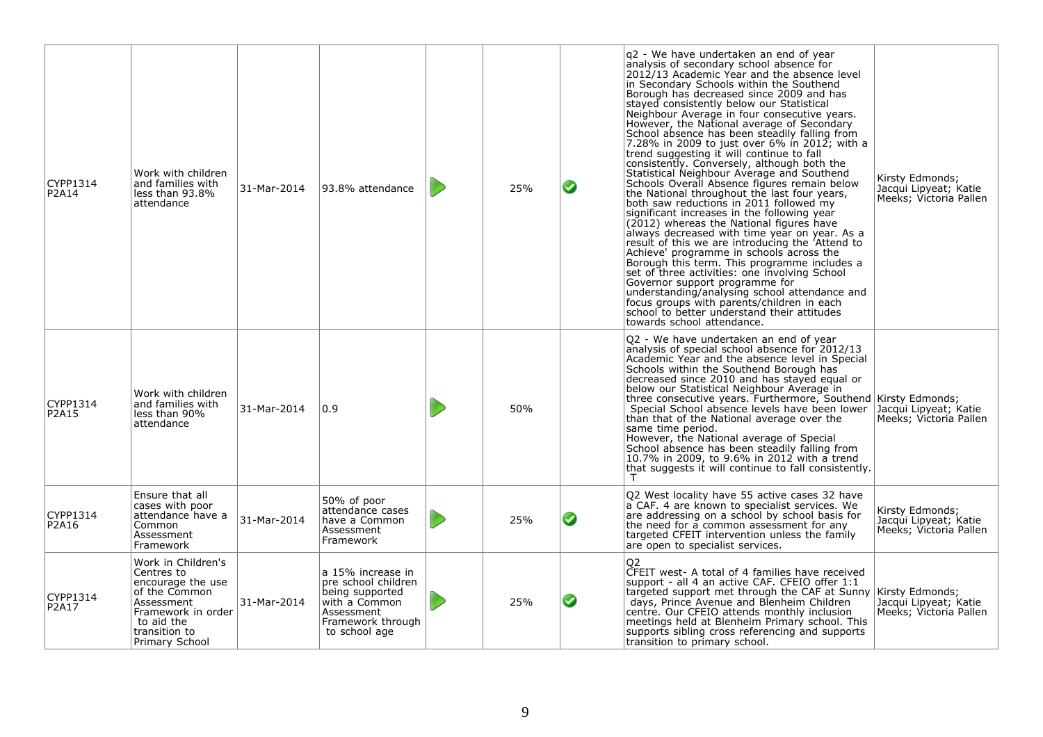| CYPP1314<br>P2A14 | Work with children<br>and families with<br>less than 93.8%<br>attendance                                                                                    | 31-Mar-2014 | 93.8% attendance                                                                                                                 | 25% | ◕ | q2 - We have undertaken an end of year<br>analysis of secondary school absence for<br>2012/13 Academic Year and the absence level<br>in Secondary Schools within the Southend<br>Borough has decreased since 2009 and has<br>stayed consistently below our Statistical<br>Neighbour Average in four consecutive years.<br>However, the National average of Secondary<br>School absence has been steadily falling from<br>7.28% in 2009 to just over 6% in 2012; with a<br>trend suggesting it will continue to fall<br>consistently. Conversely, although both the<br>Statistical Neighbour Average and Southend<br>Schools Overall Absence figures remain below<br>the National throughout the last four years,<br>both saw reductions in 2011 followed my<br>significant increases in the following year<br>(2012) whereas the National figures have<br>always decreased with time year on year. As a<br>result of this we are introducing the 'Attend to<br>Achieve' programme in schools across the<br>Borough this term. This programme includes a<br>set of three activities: one involving School<br>Governor support programme for<br>understanding/analysing school attendance and<br>focus groups with parents/children in each<br>school to better understand their attitudes<br>towards school attendance. | Kirsty Edmonds;<br>Jacqui Lipyeat; Katie<br>Meeks; Victoria Pallen |
|-------------------|-------------------------------------------------------------------------------------------------------------------------------------------------------------|-------------|----------------------------------------------------------------------------------------------------------------------------------|-----|---|------------------------------------------------------------------------------------------------------------------------------------------------------------------------------------------------------------------------------------------------------------------------------------------------------------------------------------------------------------------------------------------------------------------------------------------------------------------------------------------------------------------------------------------------------------------------------------------------------------------------------------------------------------------------------------------------------------------------------------------------------------------------------------------------------------------------------------------------------------------------------------------------------------------------------------------------------------------------------------------------------------------------------------------------------------------------------------------------------------------------------------------------------------------------------------------------------------------------------------------------------------------------------------------------------------------------|--------------------------------------------------------------------|
| CYPP1314<br>P2A15 | Work with children<br>and families with<br>less than 90%<br>attendance                                                                                      | 31-Mar-2014 | 0.9                                                                                                                              | 50% |   | Q2 - We have undertaken an end of year<br>analysis of special school absence for 2012/13<br>Academic Year and the absence level in Special<br>Schools within the Southend Borough has<br>decreased since 2010 and has stayed equal or<br>below our Statistical Neighbour Average in<br>three consecutive years. Furthermore, Southend Kirsty Edmonds;<br>Special School absence levels have been lower<br>than that of the National average over the<br>same time period.<br>However, the National average of Special<br>School absence has been steadily falling from<br>10.7% in 2009, to 9.6% in 2012 with a trend<br>that suggests it will continue to fall consistently.                                                                                                                                                                                                                                                                                                                                                                                                                                                                                                                                                                                                                                          | Jacqui Lipyeat; Katie<br>Meeks; Victoria Pallen                    |
| CYPP1314<br>P2A16 | Ensure that all<br>cases with poor<br>attendance have a<br>Common<br>Assessment<br>Framework                                                                | 31-Mar-2014 | 50% of poor<br>attendance cases<br>have a Common<br>Assessment<br>Framework                                                      | 25% | ◙ | Q2 West locality have 55 active cases 32 have<br>a CAF. 4 are known to specialist services. We<br>are addressing on a school by school basis for<br>the need for a common assessment for any<br>targeted CFEIT intervention unless the family<br>are open to specialist services.                                                                                                                                                                                                                                                                                                                                                                                                                                                                                                                                                                                                                                                                                                                                                                                                                                                                                                                                                                                                                                      | Kirsty Edmonds;<br>Jacqui Lipyeat; Katie<br>Meeks; Victoria Pallen |
| CYPP1314<br>P2A17 | Work in Children's<br>Centres to<br>encourage the use<br>of the Common<br>Assessment<br>Framework in order<br>to aid the<br>transition to<br>Primary School | 31-Mar-2014 | a 15% increase in<br>pre school children<br>being supported<br>with a Common<br>Assessment<br>Framework through<br>to school age | 25% | ◙ | CFEIT west- A total of 4 families have received<br>support - all 4 an active CAF. CFEIO offer 1:1<br>targeted support met through the CAF at Sunny Kirsty Edmonds;<br>days, Prince Avenue and Blenheim Children<br>centre. Our CFEIO attends monthly inclusion<br>meetings held at Blenheim Primary school. This<br>supports sibling cross referencing and supports<br>transition to primary school.                                                                                                                                                                                                                                                                                                                                                                                                                                                                                                                                                                                                                                                                                                                                                                                                                                                                                                                   | Jacqui Lipyeat; Katie<br>Meeks; Victoria Pallen                    |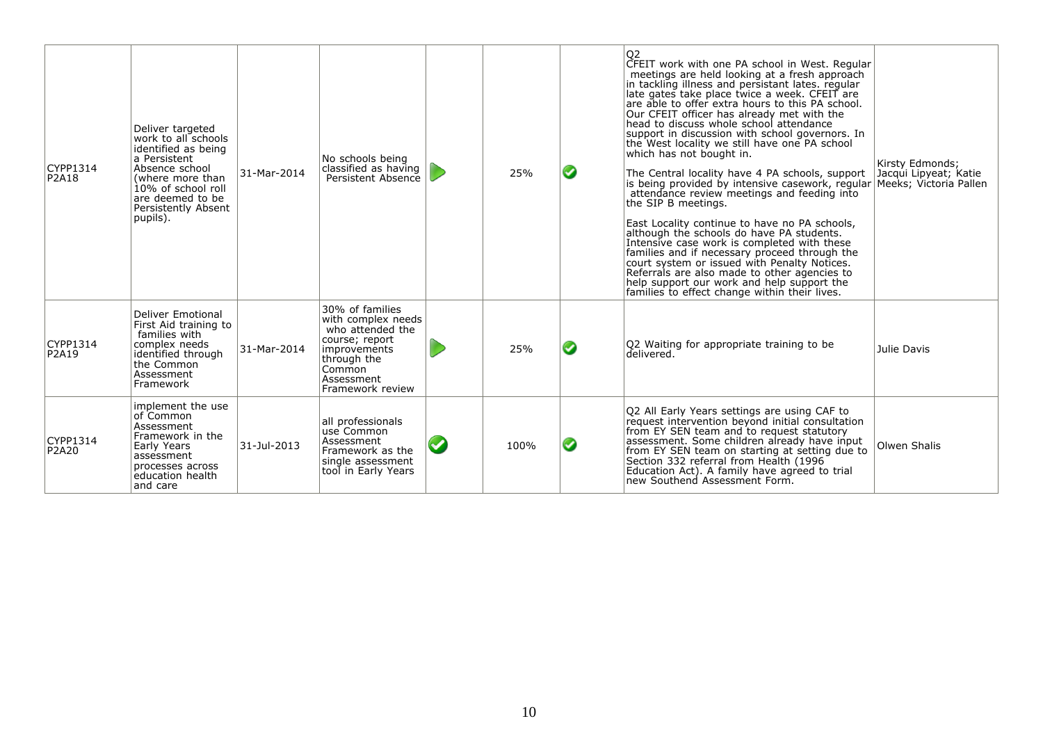| CYPP1314<br>P2A18 | Deliver targeted<br>work to all schools<br>identified as being<br>a Persistent<br>Absence school<br>(where more than<br>10% of school roll<br>are deemed to be<br>Persistently Absent<br>pupils). | 31-Mar-2014 | No schools being<br>classified as having<br>Persistent Absence                                                                                         | 25%  | ◙ | Q <sub>2</sub><br>CFEIT work with one PA school in West. Regular<br>meetings are held looking at a fresh approach<br>in tackling illness and persistant lates. regular<br>late gates take place twice a week. CFEIT are<br>are able to offer extra hours to this PA school.<br>Our CFEIT officer has already met with the<br>head to discuss whole school attendance<br>support in discussion with school governors. In<br>the West locality we still have one PA school<br>which has not bought in.<br>The Central locality have 4 PA schools, support<br>is being provided by intensive casework, regular<br>attendance review meetings and feeding into<br>the SIP B meetings.<br>East Locality continue to have no PA schools,<br>although the schools do have PA students.<br>Intensive case work is completed with these<br>families and if necessary proceed through the<br>court system or issued with Penalty Notices.<br>Referrals are also made to other agencies to<br>help support our work and help support the<br>families to effect change within their lives. | Kirsty Edmonds:<br>Jacqui Lipyeat; Katie<br>Meeks: Victoria Pallen |
|-------------------|---------------------------------------------------------------------------------------------------------------------------------------------------------------------------------------------------|-------------|--------------------------------------------------------------------------------------------------------------------------------------------------------|------|---|--------------------------------------------------------------------------------------------------------------------------------------------------------------------------------------------------------------------------------------------------------------------------------------------------------------------------------------------------------------------------------------------------------------------------------------------------------------------------------------------------------------------------------------------------------------------------------------------------------------------------------------------------------------------------------------------------------------------------------------------------------------------------------------------------------------------------------------------------------------------------------------------------------------------------------------------------------------------------------------------------------------------------------------------------------------------------------|--------------------------------------------------------------------|
| CYPP1314<br>P2A19 | <b>Deliver Emotional</b><br>First Aid training to<br>families with<br>complex needs<br>identified through<br>the Common<br>Assessment<br>Framework                                                | 31-Mar-2014 | 30% of families<br>with complex needs<br>who attended the<br>course; report<br>improvements<br>through the<br>Common<br>Assessment<br>Framework review | 25%  | ◙ | Q2 Waiting for appropriate training to be<br>delivered.                                                                                                                                                                                                                                                                                                                                                                                                                                                                                                                                                                                                                                                                                                                                                                                                                                                                                                                                                                                                                        | Julie Davis                                                        |
| CYPP1314<br>P2A20 | implement the use<br>of Common<br>Assessment<br>Framework in the<br>Early Years<br>assessment<br>processes across<br>education health<br>and care                                                 | 31-Jul-2013 | all professionals<br>use Common<br>Assessment<br>Framework as the<br>single assessment<br>tool in Early Years                                          | 100% | ◙ | Q2 All Early Years settings are using CAF to<br>request intervention beyond initial consultation<br>from EY SEN team and to request statutory<br>assessment. Some children already have input<br>from EY SEN team on starting at setting due to<br>Section 332 referral from Health (1996)<br>Education Act). A family have agreed to trial<br>new Southend Assessment Form.                                                                                                                                                                                                                                                                                                                                                                                                                                                                                                                                                                                                                                                                                                   | Olwen Shalis                                                       |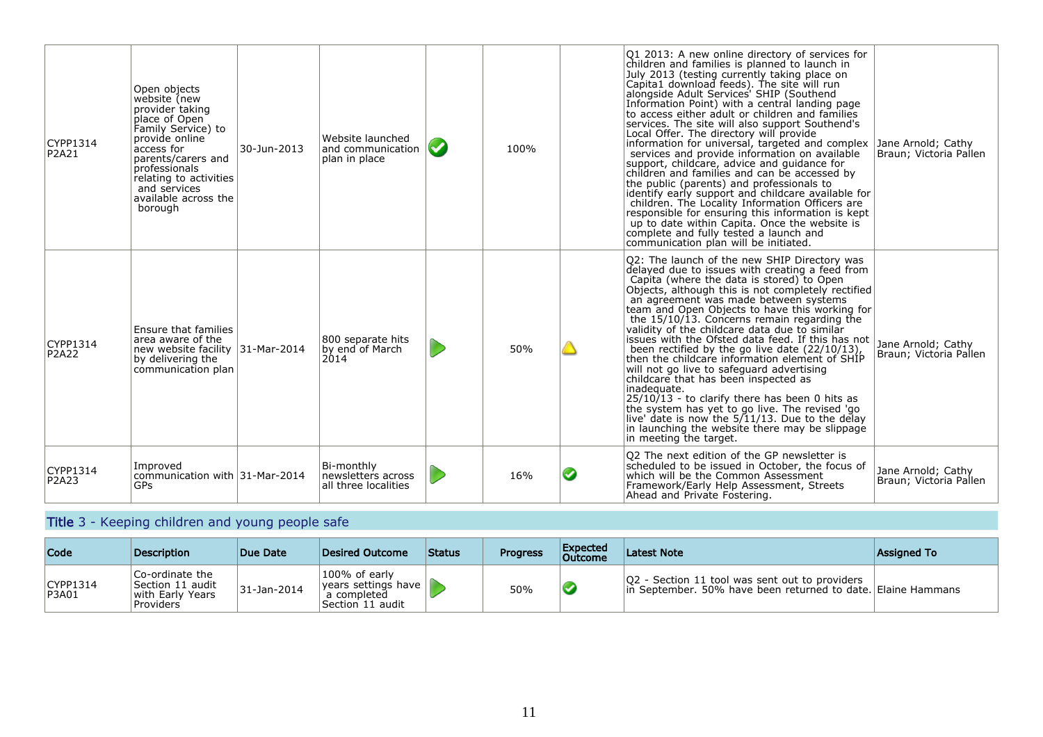| CYPP1314<br>P2A21        | Open objects<br>website (new<br>provider taking<br>place of Open<br>Family Service) to<br>provide online<br>access for<br>parents/carers and<br><b>professionals</b><br>relating to activities<br>and services<br>available across the<br>borough | 30-Jun-2013 | Website launched<br>and communication<br>plan in place   | $\blacktriangledown$ | 100% |   | Q1 2013: A new online directory of services for<br>children and families is planned to launch in<br>July 2013 (testing currently taking place on<br>Capita1 download feeds). The site will run<br>alongside Adult Services' SHIP (Southend<br>Information Point) with a central landing page<br>to access either adult or children and families<br>services. The site will also support Southend's<br>Local Offer. The directory will provide<br>information for universal, targeted and complex<br>services and provide information on available<br>support, childcare, advice and guidance for<br>children and families and can be accessed by<br>the public (parents) and professionals to<br>identify early support and childcare available for<br>children. The Locality Information Officers are<br>responsible for ensuring this information is kept<br>up to date within Capita. Once the website is<br>complete and fully tested a launch and<br>communication plan will be initiated. | Jane Arnold; Cathy<br>Braun; Victoria Pallen |
|--------------------------|---------------------------------------------------------------------------------------------------------------------------------------------------------------------------------------------------------------------------------------------------|-------------|----------------------------------------------------------|----------------------|------|---|-------------------------------------------------------------------------------------------------------------------------------------------------------------------------------------------------------------------------------------------------------------------------------------------------------------------------------------------------------------------------------------------------------------------------------------------------------------------------------------------------------------------------------------------------------------------------------------------------------------------------------------------------------------------------------------------------------------------------------------------------------------------------------------------------------------------------------------------------------------------------------------------------------------------------------------------------------------------------------------------------|----------------------------------------------|
| CYPP1314<br><b>P2A22</b> | Ensure that families<br>area aware of the<br>new website facility 31-Mar-2014<br>by delivering the<br>communication plan                                                                                                                          |             | 800 separate hits<br>by end of March<br>2014             |                      | 50%  |   | Q2: The launch of the new SHIP Directory was<br>delayed due to issues with creating a feed from<br>Capita (where the data is stored) to Open<br>Objects, although this is not completely rectified<br>an agreement was made between systems<br>team and Open Objects to have this working for<br>the 15/10/13. Concerns remain regarding the<br>validity of the childcare data due to similar<br>issues with the Ofsted data feed. If this has not<br>been rectified by the go live date (22/10/13),<br>then the childcare information element of SHIP<br>will not go live to safeguard advertising<br>childcare that has been inspected as<br>inadequate.<br>$25/10/13$ - to clarify there has been 0 hits as<br>the system has yet to go live. The revised 'go<br>live' date is now the $5/11/13$ . Due to the delay<br>in launching the website there may be slippage<br>in meeting the target.                                                                                              | Jane Arnold; Cathy<br>Braun; Victoria Pallen |
| CYPP1314<br>P2A23        | Improved<br>communication with 31-Mar-2014<br><b>GPs</b>                                                                                                                                                                                          |             | Bi-monthly<br>newsletters across<br>all three localities |                      | 16%  | ◙ | O2 The next edition of the GP newsletter is<br>scheduled to be issued in October, the focus of<br>which will be the Common Assessment<br>Framework/Early Help Assessment, Streets<br>Ahead and Private Fostering.                                                                                                                                                                                                                                                                                                                                                                                                                                                                                                                                                                                                                                                                                                                                                                               | Jane Arnold; Cathy<br>Braun; Victoria Pallen |

### Title 3 - Keeping children and young people safe

| Code              | <b>Description</b>                                                    | Due Date    | Desired Outcome                                                                | <b>Status</b> | <b>Progress</b> | Expected<br>Outcome | <b>Latest Note</b>                                                                                              | Assigned To |
|-------------------|-----------------------------------------------------------------------|-------------|--------------------------------------------------------------------------------|---------------|-----------------|---------------------|-----------------------------------------------------------------------------------------------------------------|-------------|
| CYPP1314<br>P3A01 | Co-ordinate the<br> Section 11 audit<br>with Early Years<br>Providers | 31-Jan-2014 | 100% of early<br>$ years$ settings have $ $<br>a completed<br>Section 11 audit |               | 50%             |                     | Q2 - Section 11 tool was sent out to providers<br>lin September, 50% have been returned to date. Elaine Hammans |             |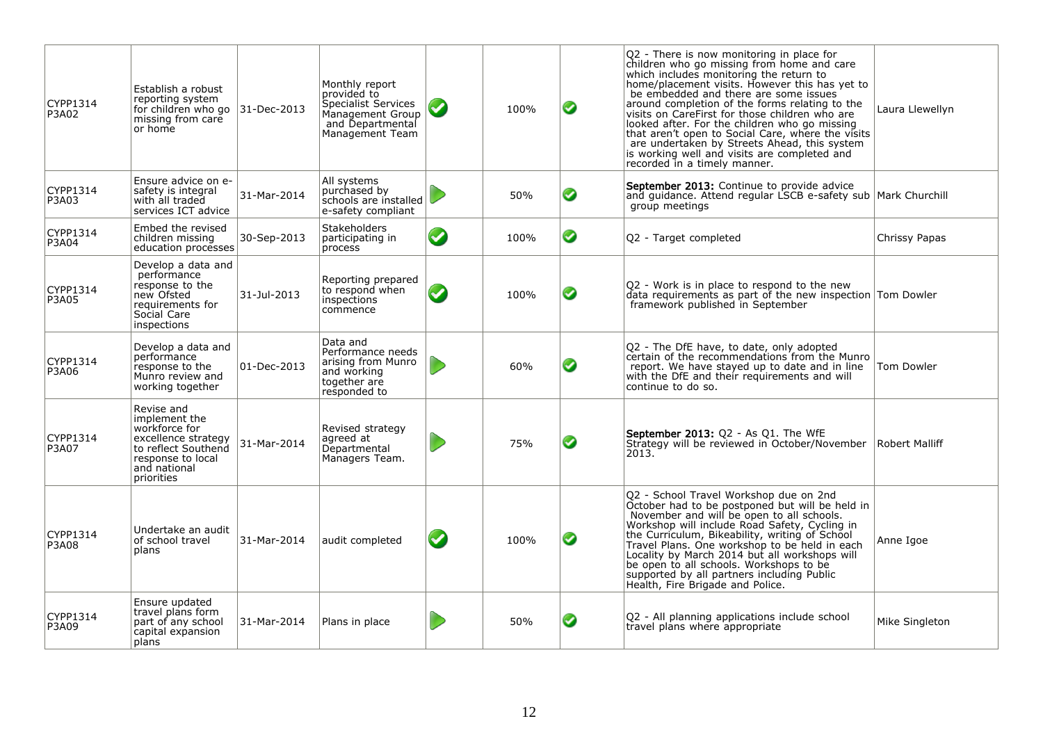| CYPP1314<br>P3A02 | Establish a robust<br>reporting system<br>for children who go<br>missing from care<br>or home                                                 | 31-Dec-2013 | Monthly report<br>provided to<br>Specialist Services<br>Management Group<br>and Departmental<br>Management Team | $\blacktriangledown$ | 100% | ◙ | Q2 - There is now monitoring in place for<br>children who go missing from home and care<br>which includes monitoring the return to<br>home/placement visits. However this has yet to<br>be embedded and there are some issues<br>around completion of the forms relating to the<br>visits on CareFirst for those children who are<br>looked after. For the children who go missing<br>that aren't open to Social Care, where the visits<br>are undertaken by Streets Ahead, this system<br>is working well and visits are completed and<br>recorded in a timely manner. | Laura Llewellyn   |
|-------------------|-----------------------------------------------------------------------------------------------------------------------------------------------|-------------|-----------------------------------------------------------------------------------------------------------------|----------------------|------|---|-------------------------------------------------------------------------------------------------------------------------------------------------------------------------------------------------------------------------------------------------------------------------------------------------------------------------------------------------------------------------------------------------------------------------------------------------------------------------------------------------------------------------------------------------------------------------|-------------------|
| CYPP1314<br>P3A03 | Ensure advice on e-<br>safety is integral<br>with all traded<br>services ICT advice                                                           | 31-Mar-2014 | All systems<br>purchased by<br>schools are installed<br>e-safety compliant                                      |                      | 50%  | ◙ | <b>September 2013:</b> Continue to provide advice<br>and guidance. Attend regular LSCB e-safety sub Mark Churchill<br>group meetings                                                                                                                                                                                                                                                                                                                                                                                                                                    |                   |
| CYPP1314<br>P3A04 | Embed the revised<br>children missing<br>education processes                                                                                  | 30-Sep-2013 | <b>Stakeholders</b><br>participating in<br>process                                                              | $\bullet$            | 100% | ◙ | Q2 - Target completed                                                                                                                                                                                                                                                                                                                                                                                                                                                                                                                                                   | Chrissy Papas     |
| CYPP1314<br>P3A05 | Develop a data and<br>performance<br>response to the<br>new Ofsted<br>requirements for<br>Social Care<br>inspections                          | 31-Jul-2013 | Reporting prepared<br>to respond when<br>inspections<br>commence                                                | $\bullet$            | 100% | ◙ | Q2 - Work is in place to respond to the new<br>$data$ requirements as part of the new inspection $Tom$ Dowler<br>framework published in September                                                                                                                                                                                                                                                                                                                                                                                                                       |                   |
| CYPP1314<br>P3A06 | Develop a data and<br>performance<br>response to the<br>Munro review and<br>working together                                                  | 01-Dec-2013 | Data and<br>Performance needs<br>arising from Munro<br>and working<br>together are<br>responded to              |                      | 60%  | ◙ | Q2 - The DfE have, to date, only adopted<br>certain of the recommendations from the Munro<br>report. We have stayed up to date and in line<br>with the DfE and their requirements and will<br>continue to do so.                                                                                                                                                                                                                                                                                                                                                        | <b>Tom Dowler</b> |
| CYPP1314<br>P3A07 | Revise and<br>implement the<br>workforce for<br>excellence strategy<br>to reflect Southend<br>response to local<br>and national<br>priorities | 31-Mar-2014 | Revised strategy<br>agreed at<br>Departmental<br>Managers Team.                                                 |                      | 75%  | ◙ | September 2013: Q2 - As Q1. The WfE<br>Strategy will be reviewed in October/November<br>2013.                                                                                                                                                                                                                                                                                                                                                                                                                                                                           | Robert Malliff    |
| CYPP1314<br>P3A08 | Undertake an audit<br>of school travel<br>plans                                                                                               | 31-Mar-2014 | audit completed                                                                                                 | $\bullet$            | 100% | ◙ | Q2 - School Travel Workshop due on 2nd<br>October had to be postponed but will be held in<br>November and will be open to all schools.<br>Workshop will include Road Safety, Cycling in<br>the Curriculum, Bikeability, writing of School<br>Travel Plans. One workshop to be held in each<br>Locality by March 2014 but all workshops will<br>be open to all schools. Workshops to be<br>supported by all partners including Public<br>Health, Fire Brigade and Police.                                                                                                | Anne Igoe         |
| CYPP1314<br>P3A09 | Ensure updated<br>travel plans form<br>part of any school<br>capital expansion<br> plans                                                      | 31-Mar-2014 | Plans in place                                                                                                  |                      | 50%  | ◙ | Q2 - All planning applications include school<br>travel plans where appropriate                                                                                                                                                                                                                                                                                                                                                                                                                                                                                         | Mike Singleton    |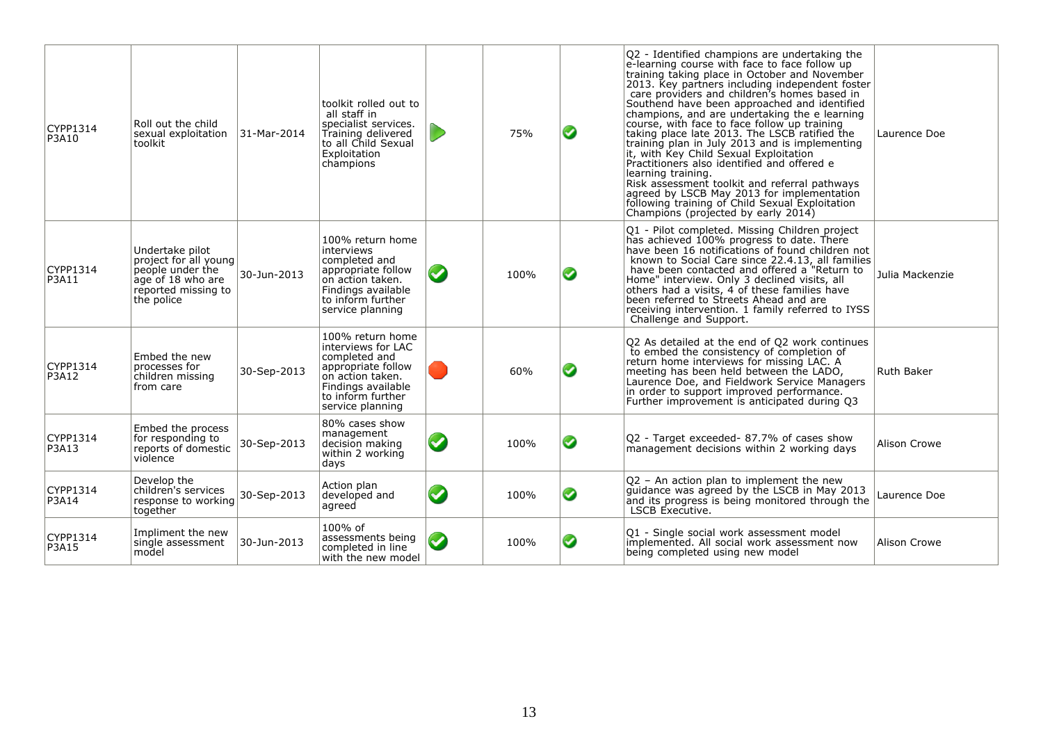| CYPP1314<br>P3A10 | Roll out the child<br>sexual exploitation<br>toolkit                                                                   | 31-Mar-2014 | toolkit rolled out to<br>all staff in<br>specialist services.<br>Training delivered<br>to all Child Sexual<br>Exploitation<br>champions                          | 75%  | ◙ | Q2 - Identified champions are undertaking the<br>e-learning course with face to face follow up<br>training taking place in October and November<br>2013. Key partners including independent foster<br>care providers and children's homes based in<br>Southend have been approached and identified<br>champions, and are undertaking the e learning<br>course, with face to face follow up training<br>taking place late 2013. The LSCB ratified the<br>training plan in July 2013 and is implementing<br>it, with Key Child Sexual Exploitation<br>Practitioners also identified and offered e<br>learning training.<br>Risk assessment toolkit and referral pathways<br>agreed by LSCB May 2013 for implementation<br>following training of Child Sexual Exploitation<br>Champions (projected by early 2014) | Laurence Doe      |
|-------------------|------------------------------------------------------------------------------------------------------------------------|-------------|------------------------------------------------------------------------------------------------------------------------------------------------------------------|------|---|----------------------------------------------------------------------------------------------------------------------------------------------------------------------------------------------------------------------------------------------------------------------------------------------------------------------------------------------------------------------------------------------------------------------------------------------------------------------------------------------------------------------------------------------------------------------------------------------------------------------------------------------------------------------------------------------------------------------------------------------------------------------------------------------------------------|-------------------|
| CYPP1314<br>P3A11 | Undertake pilot<br>project for all young<br>people under the<br>age of 18 who are<br>reported missing to<br>the police | 30-Jun-2013 | 100% return home<br>interviews<br>completed and<br>appropriate follow<br>on action taken.<br>Findings available<br>to inform further<br>service planning         | 100% | ◙ | Q1 - Pilot completed. Missing Children project<br>has achieved 100% progress to date. There<br>have been 16 notifications of found children not<br>known to Social Care since 22.4.13, all families<br>have been contacted and offered a "Return to<br>Home" interview. Only 3 declined visits, all<br>others had a visits, 4 of these families have<br>been referred to Streets Ahead and are<br>receiving intervention. 1 family referred to IYSS<br>Challenge and Support.                                                                                                                                                                                                                                                                                                                                  | Julia Mackenzie   |
| CYPP1314<br>P3A12 | Embed the new<br>processes for<br>children missing<br>from care                                                        | 30-Sep-2013 | 100% return home<br>interviews for LAC<br>completed and<br>appropriate follow<br>on action taken.<br>Findings available<br>to inform further<br>service planning | 60%  | ◙ | Q2 As detailed at the end of Q2 work continues<br>to embed the consistency of completion of<br>return home interviews for missing LAC. A<br>meeting has been held between the LADO,<br>Laurence Doe, and Fieldwork Service Managers<br>in order to support improved performance.<br>Further improvement is anticipated during Q3                                                                                                                                                                                                                                                                                                                                                                                                                                                                               | <b>Ruth Baker</b> |
| CYPP1314<br>P3A13 | Embed the process<br>for responding to<br>reports of domestic<br>violence                                              | 30-Sep-2013 | 80% cases show<br>management<br>decision making<br>within 2 working<br>days                                                                                      | 100% | ◙ | Q2 - Target exceeded- 87.7% of cases show<br>management decisions within 2 working days                                                                                                                                                                                                                                                                                                                                                                                                                                                                                                                                                                                                                                                                                                                        | Alison Crowe      |
| CYPP1314<br>P3A14 | Develop the<br>children's services<br>response to working<br>together                                                  | 30-Sep-2013 | Action plan<br>developed and<br>agreed                                                                                                                           | 100% | ◙ | Q2 - An action plan to implement the new<br>guidance was agreed by the LSCB in May 2013<br>and its progress is being monitored through the<br>LSCB Executive.                                                                                                                                                                                                                                                                                                                                                                                                                                                                                                                                                                                                                                                  | Laurence Doe      |
| CYPP1314<br>P3A15 | Impliment the new<br>single assessment<br>model                                                                        | 30-Jun-2013 | 100% of<br>assessments being<br>completed in line<br>with the new model                                                                                          | 100% | ◙ | Q1 - Single social work assessment model<br>implemented. All social work assessment now<br>being completed using new model                                                                                                                                                                                                                                                                                                                                                                                                                                                                                                                                                                                                                                                                                     | Alison Crowe      |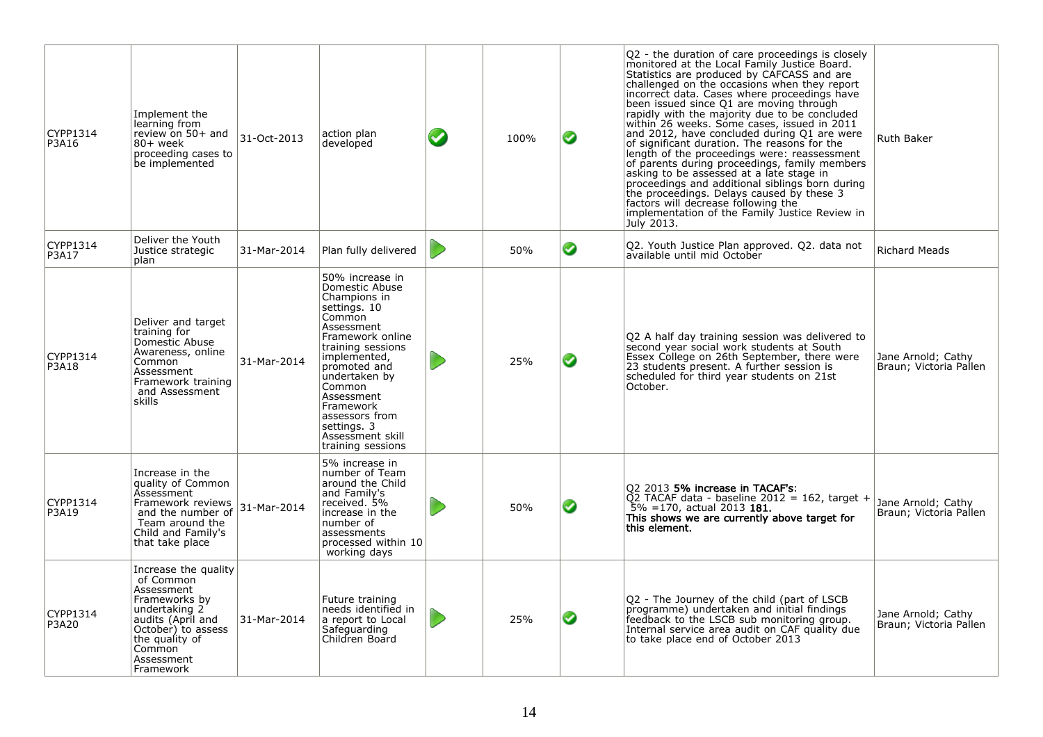| CYPP1314<br>P3A16        | Implement the<br>learning from<br>review on 50+ and<br>80+ week<br>proceeding cases to<br>be implemented                                                                            | 31-Oct-2013 | action plan<br>developed                                                                                                                                                                                                                                                                           | $\bullet$ | 100% | ◙ | Q2 - the duration of care proceedings is closely<br>monitored at the Local Family Justice Board.<br>Statistics are produced by CAFCASS and are<br>challenged on the occasions when they report<br>incorrect data. Cases where proceedings have<br>been issued since Q1 are moving through<br>rapidly with the majority due to be concluded<br>within 26 weeks. Some cases, issued in 2011<br>and 2012, have concluded during Q1 are were<br>of significant duration. The reasons for the<br>length of the proceedings were: reassessment<br>of parents during proceedings, family members<br>asking to be assessed at a late stage in<br>proceedings and additional siblings born during<br>the proceedings. Delays caused by these 3<br>factors will decrease following the<br>implementation of the Family Justice Review in<br>July 2013. | <b>Ruth Baker</b>                            |
|--------------------------|-------------------------------------------------------------------------------------------------------------------------------------------------------------------------------------|-------------|----------------------------------------------------------------------------------------------------------------------------------------------------------------------------------------------------------------------------------------------------------------------------------------------------|-----------|------|---|----------------------------------------------------------------------------------------------------------------------------------------------------------------------------------------------------------------------------------------------------------------------------------------------------------------------------------------------------------------------------------------------------------------------------------------------------------------------------------------------------------------------------------------------------------------------------------------------------------------------------------------------------------------------------------------------------------------------------------------------------------------------------------------------------------------------------------------------|----------------------------------------------|
| CYPP1314<br>P3A17        | Deliver the Youth<br>Justice strategic<br>plan                                                                                                                                      | 31-Mar-2014 | Plan fully delivered                                                                                                                                                                                                                                                                               |           | 50%  | ◙ | Q2. Youth Justice Plan approved. Q2. data not<br>available until mid October                                                                                                                                                                                                                                                                                                                                                                                                                                                                                                                                                                                                                                                                                                                                                                 | <b>Richard Meads</b>                         |
| CYPP1314<br>P3A18        | Deliver and target<br>training for<br>Domestic Abuse<br>Awareness, online<br>Common<br>Assessment<br>Framework training<br>and Assessment<br>skills                                 | 31-Mar-2014 | 50% increase in<br>Domestic Abuse<br>Champions in<br>settings. 10<br>Common<br>Assessment<br>Framework online<br>training sessions<br>implemented,<br>promoted and<br>undertaken by<br>Common<br>Assessment<br>Framework<br>assessors from<br>settings. 3<br>Assessment skill<br>training sessions |           | 25%  | ◙ | Q2 A half day training session was delivered to<br>second year social work students at South<br>Essex College on 26th September, there were<br>23 students present. A further session is<br>scheduled for third year students on 21st<br>October.                                                                                                                                                                                                                                                                                                                                                                                                                                                                                                                                                                                            | Jane Arnold; Cathy<br>Braun; Victoria Pallen |
| CYPP1314<br>P3A19        | Increase in the<br>quality of Common<br><b>Assessment</b><br>Framework reviews<br>and the number of<br>Team around the<br>Child and Family's<br>that take place                     | 31-Mar-2014 | 5% increase in<br>number of Team<br>around the Child<br>and Family's<br>received. 5%<br>increase in the<br>number of<br>assessments<br>processed within 10<br>working days                                                                                                                         |           | 50%  | ◙ | Q2 2013 5% increase in TACAF's:<br>$\overline{Q}$ 2 TACAF data - baseline 2012 = 162, target +<br>$5\%$ =170, actual 2013 181.<br>This shows we are currently above target for<br>this element.                                                                                                                                                                                                                                                                                                                                                                                                                                                                                                                                                                                                                                              | Jane Arnold; Cathy<br>Braun; Victoria Pallen |
| CYPP1314<br><b>P3A20</b> | Increase the quality<br>of Common<br>Assessment<br>Frameworks by<br>undertaking 2<br>audits (April and<br>October) to assess<br>the quality of<br>Common<br>Assessment<br>Framework | 31-Mar-2014 | Future training<br>needs identified in<br>a report to Local<br>Safeguarding<br>Children Board                                                                                                                                                                                                      |           | 25%  | ◙ | Q2 - The Journey of the child (part of LSCB<br>programme) undertaken and initial findings<br>feedback to the LSCB sub monitoring group.<br>Internal service area audit on CAF quality due<br>to take place end of October 2013                                                                                                                                                                                                                                                                                                                                                                                                                                                                                                                                                                                                               | Jane Arnold; Cathy<br>Braun; Victoria Pallen |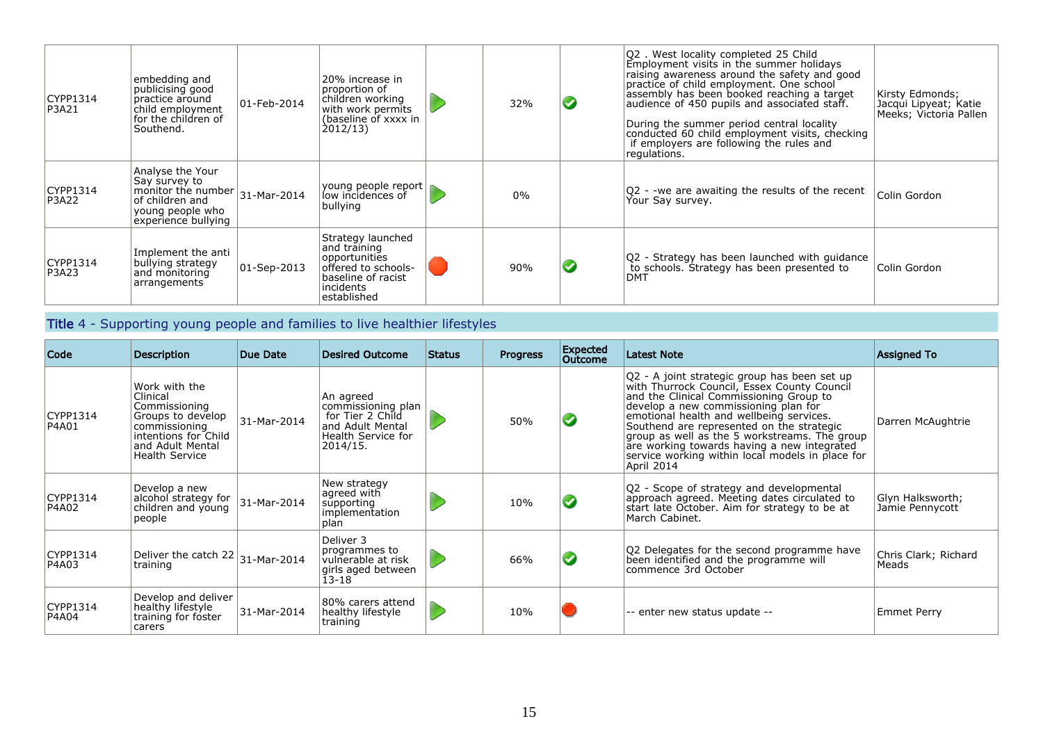| CYPP1314<br>P3A21 | embedding and<br>publicising good<br>practice around<br>child employment<br>lfor the children of<br>Southend.                        | $ 01 - \text{Feb} - 2014 $ | 20% increase in<br>proportion of<br>children working<br>with work permits<br>(baseline of xxxx in<br>2012/13                | 32%   |   | Q2. West locality completed 25 Child<br>Employment visits in the summer holidays<br>raising awareness around the safety and good<br>practice of child employment. One school<br>assembly has been booked reaching a target<br>audience of 450 pupils and associated staff.<br>During the summer period central locality<br>conducted 60 child employment visits, checking<br>if employers are following the rules and<br>regulations. | Kirsty Edmonds;<br>Jacqui Lipyeat; Katie<br>Meeks; Victoria Pallen |
|-------------------|--------------------------------------------------------------------------------------------------------------------------------------|----------------------------|-----------------------------------------------------------------------------------------------------------------------------|-------|---|---------------------------------------------------------------------------------------------------------------------------------------------------------------------------------------------------------------------------------------------------------------------------------------------------------------------------------------------------------------------------------------------------------------------------------------|--------------------------------------------------------------------|
| CYPP1314<br>P3A22 | Analyse the Your<br>Say survey to<br>monitor the number $31$ -Mar-2014<br>of children and<br>young people who<br>experience bullying |                            | $\left $ young people report $\right $<br>bullying                                                                          | $0\%$ |   | Q2 - -we are awaiting the results of the recent<br>Your Say survey.                                                                                                                                                                                                                                                                                                                                                                   | Colin Gordon                                                       |
| CYPP1314<br>P3A23 | Implement the anti<br>bullying strategy<br>and monitoring<br>arrangements                                                            | 01-Sep-2013                | Strategy launched<br>and training<br>opportunities<br>offered to schools-<br>baseline of racist<br>incidents<br>established | 90%   | ✓ | Q2 - Strategy has been launched with guidance<br>to schools. Strategy has been presented to<br>DMT                                                                                                                                                                                                                                                                                                                                    | Colin Gordon                                                       |

## Title 4 - Supporting young people and families to live healthier lifestyles

| Code              | <b>Description</b>                                                                                                                                    | Due Date    | <b>Desired Outcome</b>                                                                                    | <b>Status</b> | <b>Progress</b> | Expected<br>Outcome  | <b>Latest Note</b>                                                                                                                                                                                                                                                                                                                                                                                                                        | <b>Assigned To</b>                  |
|-------------------|-------------------------------------------------------------------------------------------------------------------------------------------------------|-------------|-----------------------------------------------------------------------------------------------------------|---------------|-----------------|----------------------|-------------------------------------------------------------------------------------------------------------------------------------------------------------------------------------------------------------------------------------------------------------------------------------------------------------------------------------------------------------------------------------------------------------------------------------------|-------------------------------------|
| CYPP1314<br>P4A01 | Work with the<br>Clinical<br>Commissioning<br>Groups to develop<br>commissioning<br>intentions for Child<br>and Adult Mental<br><b>Health Service</b> | 31-Mar-2014 | An agreed<br>commissioning plan<br>for Tier 2 Child<br>and Adult Mental<br>Health Service for<br>2014/15. |               | 50%             | $\blacktriangledown$ | Q2 - A joint strategic group has been set up<br>with Thurrock Council, Essex County Council<br>and the Clinical Commissioning Group to<br>develop a new commissioning plan for<br>emotional health and wellbeing services.<br>Southend are represented on the strategic<br>group as well as the 5 workstreams. The group<br>are working towards having a new integrated<br>service working within local models in place for<br>April 2014 | Darren McAughtrie                   |
| CYPP1314<br>P4A02 | Develop a new<br>alcohol strategy for<br>children and young<br>people                                                                                 | 31-Mar-2014 | New strategy<br>agreed with<br>supporting<br>implementation<br>plan                                       |               | 10%             |                      | Q2 - Scope of strategy and developmental<br>approach agreed. Meeting dates circulated to<br>start late October. Aim for strategy to be at<br>March Cabinet.                                                                                                                                                                                                                                                                               | Glyn Halksworth;<br>Jamie Pennycott |
| CYPP1314<br>P4A03 | Deliver the catch $22 _{31}$ -Mar-2014<br>training                                                                                                    |             | Deliver 3<br>programmes to<br>vulnerable at risk<br>girls aged between<br>$13 - 18$                       |               | 66%             |                      | Q2 Delegates for the second programme have<br>been identified and the programme will<br>commence 3rd October                                                                                                                                                                                                                                                                                                                              | Chris Clark; Richard<br>Meads       |
| CYPP1314<br>P4A04 | Develop and deliver<br>healthy lifestyle<br>training for foster<br>carers                                                                             | 31-Mar-2014 | 80% carers attend<br>healthy lifestyle<br>training                                                        |               | 10%             |                      | -- enter new status update --                                                                                                                                                                                                                                                                                                                                                                                                             | <b>Emmet Perry</b>                  |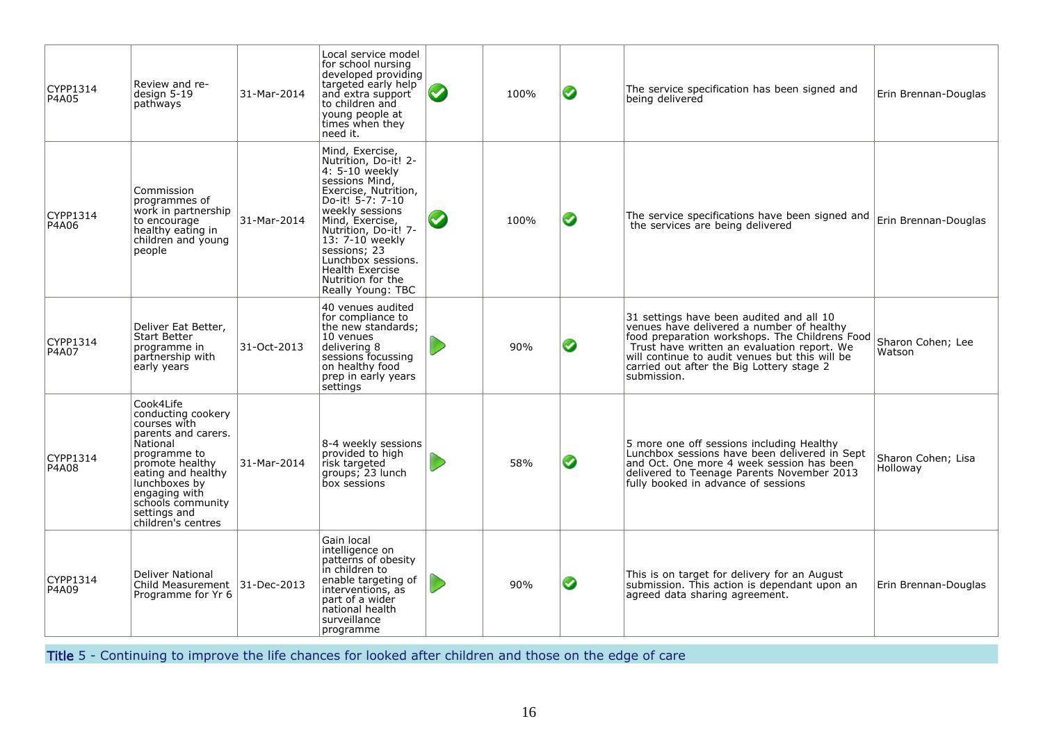| CYPP1314<br>P4A05 | Review and re-<br>design 5-19<br>pathways                                                                                                                                                                                                | 31-Mar-2014 | Local service model<br>for school nursing<br>developed providing<br>targeted early help<br>and extra support<br>to children and<br>young people at<br>times when they<br>need it.                                                                                                                                  | 100% | ◙ | The service specification has been signed and<br>being delivered                                                                                                                                                                                                                                     | Erin Brennan-Douglas           |
|-------------------|------------------------------------------------------------------------------------------------------------------------------------------------------------------------------------------------------------------------------------------|-------------|--------------------------------------------------------------------------------------------------------------------------------------------------------------------------------------------------------------------------------------------------------------------------------------------------------------------|------|---|------------------------------------------------------------------------------------------------------------------------------------------------------------------------------------------------------------------------------------------------------------------------------------------------------|--------------------------------|
| CYPP1314<br>P4A06 | Commission<br>programmes of<br>work in partnership<br>to encourage<br>healthy eating in<br>children and young<br>people                                                                                                                  | 31-Mar-2014 | Mind, Exercise,<br>Nutrition, Do-it! 2-<br>4: 5-10 weekly<br>sessions Mind,<br>Exercise, Nutrition,<br>Do-it! 5-7: 7-10<br>weekly sessions<br>Mind, Exercise,<br>Nutrition, Do-it! 7-<br>13: 7-10 weekly<br>sessions; 23<br>Lunchbox sessions.<br><b>Health Exercise</b><br>Nutrition for the<br>Really Young: TBC | 100% | ◙ | The service specifications have been signed and<br>the services are being delivered                                                                                                                                                                                                                  | Erin Brennan-Douglas           |
| CYPP1314<br>P4A07 | Deliver Eat Better,<br><b>Start Better</b><br>programme in<br>partnership with<br>early years                                                                                                                                            | 31-Oct-2013 | 40 venues audited<br>for compliance to<br>the new standards;<br>10 venues<br>delivering 8<br>sessions focussing<br>on healthy food<br>prep in early years<br>settings                                                                                                                                              | 90%  | ◙ | 31 settings have been audited and all 10<br>venues have delivered a number of healthy<br>food preparation workshops. The Childrens Food<br>Trust have written an evaluation report. We<br>will continue to audit venues but this will be<br>carried out after the Big Lottery stage 2<br>submission. | Sharon Cohen; Lee<br>Watson    |
| CYPP1314<br>P4A08 | Cook4Life<br>conducting cookery<br>courses with<br>parents and carers.<br>National<br>programme to<br>promote healthy<br>eating and healthy<br>lunchboxes by<br>engaging with<br>schools community<br>settings and<br>children's centres | 31-Mar-2014 | 8-4 weekly sessions<br>provided to high<br>risk targeted<br>groups; 23 lunch<br>box sessions                                                                                                                                                                                                                       | 58%  | ◙ | 5 more one off sessions including Healthy<br>Lunchbox sessions have been delivered in Sept<br>and Oct. One more 4 week session has been<br>delivered to Teenage Parents November 2013<br>fully booked in advance of sessions                                                                         | Sharon Cohen: Lisa<br>Holloway |
| CYPP1314<br>P4A09 | Deliver National<br>Child Measurement 31-Dec-2013<br>Programme for Yr 6                                                                                                                                                                  |             | Gain local<br>intelligence on<br>patterns of obesity<br>in children to<br>enable targeting of<br>interventions, as<br>part of a wider<br>national health<br>surveillance<br>programme                                                                                                                              | 90%  | ◙ | This is on target for delivery for an August<br>submission. This action is dependant upon an<br>agreed data sharing agreement.                                                                                                                                                                       | Erin Brennan-Douglas           |

Title 5 - Continuing to improve the life chances for looked after children and those on the edge of care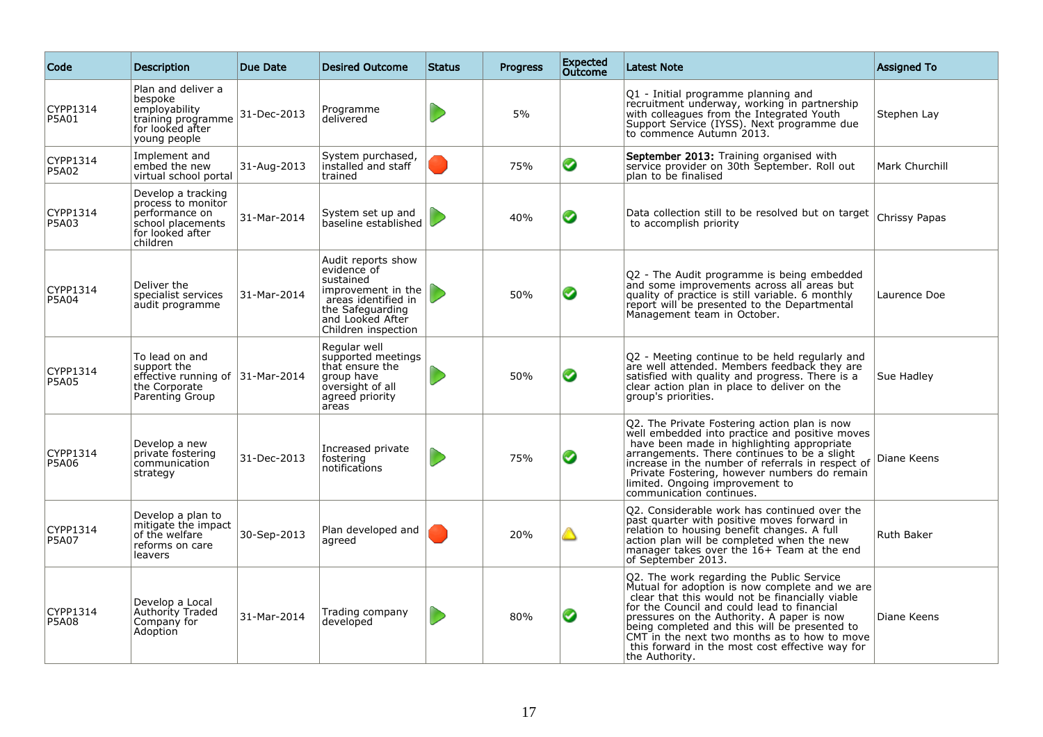| Code                     | <b>Description</b>                                                                                              | Due Date    | <b>Desired Outcome</b>                                                                                                                                     | <b>Status</b> | <b>Progress</b> | <b>Expected</b><br><b>Outcome</b> | <b>Latest Note</b>                                                                                                                                                                                                                                                                                                                                                                                                | <b>Assigned To</b> |
|--------------------------|-----------------------------------------------------------------------------------------------------------------|-------------|------------------------------------------------------------------------------------------------------------------------------------------------------------|---------------|-----------------|-----------------------------------|-------------------------------------------------------------------------------------------------------------------------------------------------------------------------------------------------------------------------------------------------------------------------------------------------------------------------------------------------------------------------------------------------------------------|--------------------|
| CYPP1314<br>P5A01        | Plan and deliver a<br>bespoke<br>employability<br>training programme<br>for looked after<br>young people        | 31-Dec-2013 | Programme<br>delivered                                                                                                                                     |               | 5%              |                                   | Q1 - Initial programme planning and<br>recruitment underway, working in partnership<br>with colleagues from the Integrated Youth<br>Support Service (IYSS). Next programme due<br>to commence Autumn 2013.                                                                                                                                                                                                        | Stephen Lay        |
| CYPP1314<br>P5A02        | Implement and<br>embed the new<br>virtual school portal                                                         | 31-Aug-2013 | System purchased,<br>installed and staff<br>trained                                                                                                        |               | 75%             | ◙                                 | September 2013: Training organised with<br>service provider on 30th September. Roll out<br>plan to be finalised                                                                                                                                                                                                                                                                                                   | Mark Churchill     |
| CYPP1314<br>P5A03        | Develop a tracking<br>process to monitor<br>performance on<br>school placements<br>for looked after<br>children | 31-Mar-2014 | System set up and<br>baseline established                                                                                                                  |               | 40%             | ◉                                 | Data collection still to be resolved but on target<br>to accomplish priority                                                                                                                                                                                                                                                                                                                                      | Chrissy Papas      |
| CYPP1314<br>P5A04        | Deliver the<br>specialist services<br>audit programme                                                           | 31-Mar-2014 | Audit reports show<br>evidence of<br>sustained<br>improvement in the<br>areas identified in<br>the Safeguarding<br>and Looked After<br>Children inspection |               | 50%             | ◕                                 | Q2 - The Audit programme is being embedded<br>and some improvements across all areas but<br>quality of practice is still variable. 6 monthly<br>report will be presented to the Departmental<br>Management team in October.                                                                                                                                                                                       | Laurence Doe       |
| CYPP1314<br><b>P5A05</b> | To lead on and<br>support the<br>effective running of 31-Mar-2014<br>the Corporate<br>Parenting Group           |             | Regular well<br>supported meetings<br>that ensure the<br>group have<br>oversight of all<br>agreed priority<br>areas                                        |               | 50%             | ◙                                 | Q2 - Meeting continue to be held regularly and<br>are well attended. Members feedback they are<br>satisfied with quality and progress. There is a<br>clear action plan in place to deliver on the<br>group's priorities.                                                                                                                                                                                          | Sue Hadley         |
| CYPP1314<br><b>P5A06</b> | Develop a new<br>private fostering<br>communication<br>strategy                                                 | 31-Dec-2013 | Increased private<br>fostering<br>notifications                                                                                                            |               | 75%             | ◙                                 | Q2. The Private Fostering action plan is now<br>well embedded into practice and positive moves<br>have been made in highlighting appropriate<br>arrangements. There continues to be a slight<br>increase in the number of referrals in respect of<br>Private Fostering, however numbers do remain<br>limited. Ongoing improvement to<br>communication continues.                                                  | Diane Keens        |
| CYPP1314<br><b>P5A07</b> | Develop a plan to<br>mitigate the impact<br>of the welfare<br>reforms on care<br>leavers                        | 30-Sep-2013 | Plan developed and<br>agreed                                                                                                                               |               | 20%             | △                                 | Q2. Considerable work has continued over the<br>past quarter with positive moves forward in<br>relation to housing benefit changes. A full<br>action plan will be completed when the new<br>manager takes over the 16+ Team at the end<br>of September 2013.                                                                                                                                                      | Ruth Baker         |
| CYPP1314<br><b>P5A08</b> | Develop a Local<br>Authority Traded<br>Company for<br>Adoption                                                  | 31-Mar-2014 | Trading company<br>developed                                                                                                                               |               | 80%             | ◙                                 | Q2. The work regarding the Public Service<br>Mutual for adoption is now complete and we are<br>clear that this would not be financially viable<br>for the Council and could lead to financial<br>pressures on the Authority. A paper is now<br>being completed and this will be presented to<br>CMT in the next two months as to how to move<br>this forward in the most cost effective way for<br>the Authority. | Diane Keens        |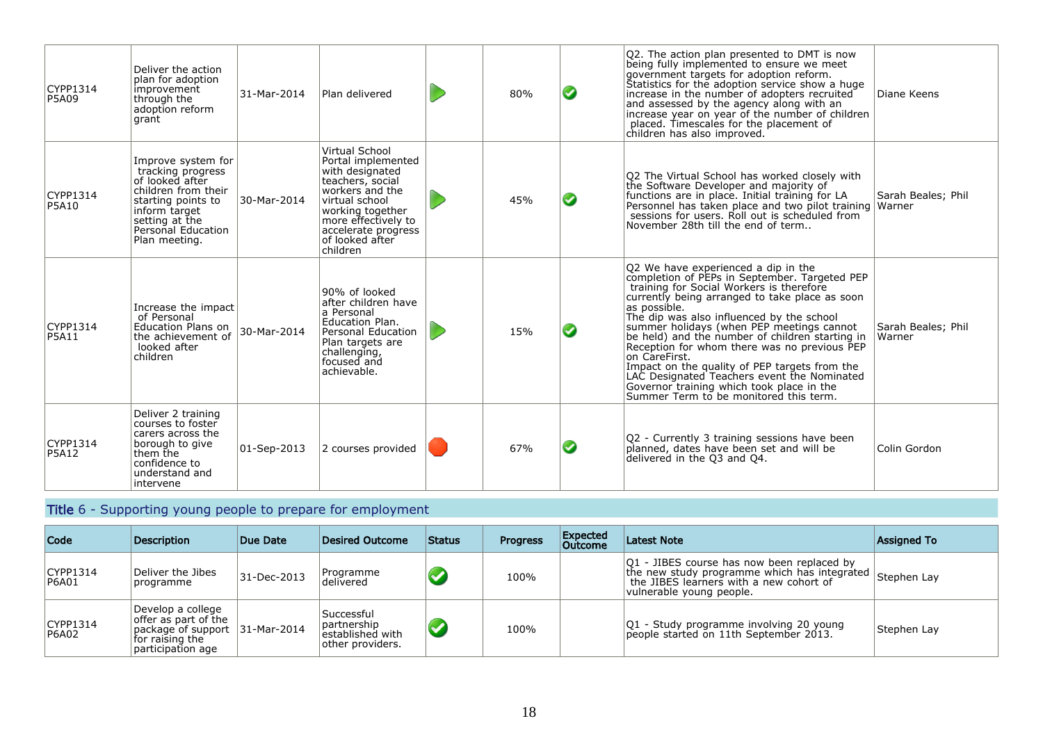| CYPP1314<br>P5A09        | Deliver the action<br>plan for adoption<br>improvement<br>through the<br>adoption reform<br>grant                                                                                 | 31-Mar-2014 | Plan delivered                                                                                                                                                                                                    | 80% | ◙ | Q2. The action plan presented to DMT is now<br>being fully implemented to ensure we meet<br>government targets for adoption reform.<br>Statistics for the adoption service show a huge<br>increase in the number of adopters recruited<br>and assessed by the agency along with an<br>increase year on year of the number of children<br>placed. Timescales for the placement of<br>children has also improved.                                                                                                                                                                                         | Diane Keens                  |
|--------------------------|-----------------------------------------------------------------------------------------------------------------------------------------------------------------------------------|-------------|-------------------------------------------------------------------------------------------------------------------------------------------------------------------------------------------------------------------|-----|---|---------------------------------------------------------------------------------------------------------------------------------------------------------------------------------------------------------------------------------------------------------------------------------------------------------------------------------------------------------------------------------------------------------------------------------------------------------------------------------------------------------------------------------------------------------------------------------------------------------|------------------------------|
| CYPP1314<br><b>P5A10</b> | Improve system for<br>tracking progress<br>of looked after<br>children from their<br>starting points to<br>inform target<br>setting at the<br>Personal Education<br>Plan meeting. | 30-Mar-2014 | Virtual School<br>Portal implemented<br>with designated<br>teachers, social<br>workers and the<br>virtual school<br>working together<br>more effectively to<br>accelerate progress<br>of looked after<br>children | 45% | ◙ | Q2 The Virtual School has worked closely with<br>the Software Developer and majority of<br>functions are in place. Initial training for LA<br>Personnel has taken place and two pilot training Warner<br>sessions for users. Roll out is scheduled from<br>November 28th till the end of term                                                                                                                                                                                                                                                                                                           | Sarah Beales; Phil           |
| CYPP1314<br>P5A11        | Increase the impact<br>of Personal<br>Education Plans on<br>the achievement of<br>looked after<br>children                                                                        | 30-Mar-2014 | 90% of looked<br>after children have<br>a Personal<br>Education Plan.<br>Personal Education<br>Plan targets are<br>challenging,<br>focused and<br>achievable.                                                     | 15% | Ø | Q2 We have experienced a dip in the<br>completion of PEPs in September. Targeted PEP<br>training for Social Workers is therefore<br>currently being arranged to take place as soon<br>as possible.<br>The dip was also influenced by the school<br>summer holidays (when PEP meetings cannot<br>be held) and the number of children starting in<br>Reception for whom there was no previous PEP<br>on CareFirst.<br>Impact on the quality of PEP targets from the<br>LAC Designated Teachers event the Nominated<br>Governor training which took place in the<br>Summer Term to be monitored this term. | Sarah Beales; Phil<br>Warner |
| CYPP1314<br><b>P5A12</b> | Deliver 2 training<br>courses to foster<br>carers across the<br>borough to give<br>them the<br>confidence to<br>understand and<br>intervene                                       | 01-Sep-2013 | 2 courses provided                                                                                                                                                                                                | 67% | ◕ | Q2 - Currently 3 training sessions have been<br>planned, dates have been set and will be<br>delivered in the Q3 and Q4.                                                                                                                                                                                                                                                                                                                                                                                                                                                                                 | Colin Gordon                 |

#### Title 6 - Supporting young people to prepare for employment

| Code              | Description                                                                                                           | Due Date    | <b>Desired Outcome</b>                                                         | <b>Status</b> | <b>Progress</b> | <b>Expected</b><br>Outcome | <b>Latest Note</b>                                                                                                                                                | <b>Assigned To</b> |
|-------------------|-----------------------------------------------------------------------------------------------------------------------|-------------|--------------------------------------------------------------------------------|---------------|-----------------|----------------------------|-------------------------------------------------------------------------------------------------------------------------------------------------------------------|--------------------|
| CYPP1314<br>P6A01 | Deliver the Jibes<br>programme                                                                                        | 31-Dec-2013 | Programme<br>delivered                                                         |               | 100%            |                            | Q1 - JIBES course has now been replaced by<br>the new study programme which has integrated<br>the JIBES learners with a new cohort of<br>vulnerable young people. | Stephen Lay        |
| CYPP1314<br>P6A02 | Develop a college<br>offer as part of the<br>package of support   31-Mar-2014<br>for raising the<br>participation age |             | Successful<br><sup>1</sup> partnership<br>established with<br>other providers. |               | 100%            |                            | Q1 - Study programme involving 20 young<br>people started on 11th September 2013.                                                                                 | Stephen Lay        |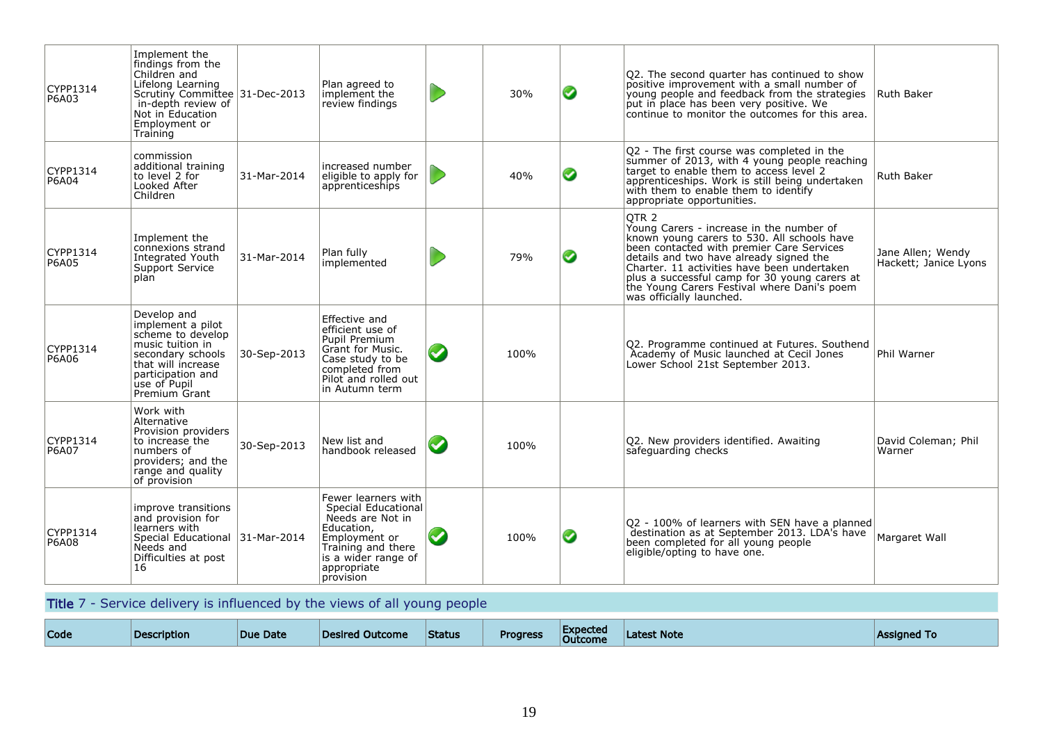| CYPP1314<br>P6A03 | Implement the<br>findings from the<br>Children and<br>Lifelong Learning<br>Scrutiny Committee 31-Dec-2013<br>in-depth review of<br>Not in Education<br>Employment or<br>Training |             | Plan agreed to<br>implement the<br>review findings                                                                                                                     |           | 30%  | ◉ | Q2. The second quarter has continued to show<br>positive improvement with a small number of<br>young people and feedback from the strategies<br>put in place has been very positive. We<br>continue to monitor the outcomes for this area.                                                                                                                                     | Ruth Baker                                 |
|-------------------|----------------------------------------------------------------------------------------------------------------------------------------------------------------------------------|-------------|------------------------------------------------------------------------------------------------------------------------------------------------------------------------|-----------|------|---|--------------------------------------------------------------------------------------------------------------------------------------------------------------------------------------------------------------------------------------------------------------------------------------------------------------------------------------------------------------------------------|--------------------------------------------|
| CYPP1314<br>P6A04 | commission<br>additional training<br>to level 2 for<br>Looked After<br>Children                                                                                                  | 31-Mar-2014 | increased number<br>eligible to apply for<br>apprenticeships                                                                                                           |           | 40%  | ◙ | Q2 - The first course was completed in the<br>summer of 2013, with 4 young people reaching<br>target to enable them to access level 2<br>apprenticeships. Work is still being undertaken<br>with them to enable them to identify<br>appropriate opportunities.                                                                                                                 | Ruth Baker                                 |
| CYPP1314<br>P6A05 | Implement the<br>connexions strand<br>Integrated Youth<br>Support Service<br>plan                                                                                                | 31-Mar-2014 | Plan fully<br>implemented                                                                                                                                              |           | 79%  | ◙ | OTR <sub>2</sub><br>Young Carers - increase in the number of<br>known young carers to 530. All schools have<br>been contacted with premier Care Services<br>details and two have already signed the<br>Charter. 11 activities have been undertaken<br>plus a successful camp for 30 young carers at<br>the Young Carers Festival where Dani's poem<br>was officially launched. | Jane Allen; Wendy<br>Hackett; Janice Lyons |
| CYPP1314<br>P6A06 | Develop and<br>implement a pilot<br>scheme to develop<br>music tuition in<br>secondary schools<br>that will increase<br>participation and<br>use of Pupil<br>Premium Grant       | 30-Sep-2013 | Effective and<br>efficient use of<br>Pupil Premium<br>Grant for Music.<br>Case study to be<br>completed from<br>Pilot and rolled out<br>in Autumn term                 | $\bullet$ | 100% |   | Q2. Programme continued at Futures. Southend<br>Academy of Music launched at Cecil Jones<br>Lower School 21st September 2013.                                                                                                                                                                                                                                                  | Phil Warner                                |
| CYPP1314<br>P6A07 | Work with<br>Alternative<br>Provision providers<br>to increase the<br>numbers of<br>providers; and the<br>range and quality<br>of provision                                      | 30-Sep-2013 | New list and<br>handbook released                                                                                                                                      |           | 100% |   | Q2. New providers identified. Awaiting<br>safeguarding checks                                                                                                                                                                                                                                                                                                                  | David Coleman; Phil<br>Warner              |
| CYPP1314<br>P6A08 | improve transitions<br>and provision for<br>learners with<br>Special Educational 31-Mar-2014<br>Needs and<br>Difficulties at post<br>16                                          |             | Fewer learners with<br>Special Educational<br>Needs are Not in<br>Education,<br>Employment or<br>Training and there<br>is a wider range of<br>appropriate<br>provision |           | 100% | ◙ | Q2 - 100% of learners with SEN have a planned<br>destination as at September 2013. LDA's have<br>been completed for all young people<br>eligible/opting to have one.                                                                                                                                                                                                           | Margaret Wall                              |

Title 7 - Service delivery is influenced by the views of all young people

| Code | <b>Description</b> | Due Date | Desired Outcome | <b>Status</b> | <b>Progress</b> | <b>Expected</b><br><b>Outcome</b> | st Note<br><b>Latest</b> | Assianed To |
|------|--------------------|----------|-----------------|---------------|-----------------|-----------------------------------|--------------------------|-------------|
|------|--------------------|----------|-----------------|---------------|-----------------|-----------------------------------|--------------------------|-------------|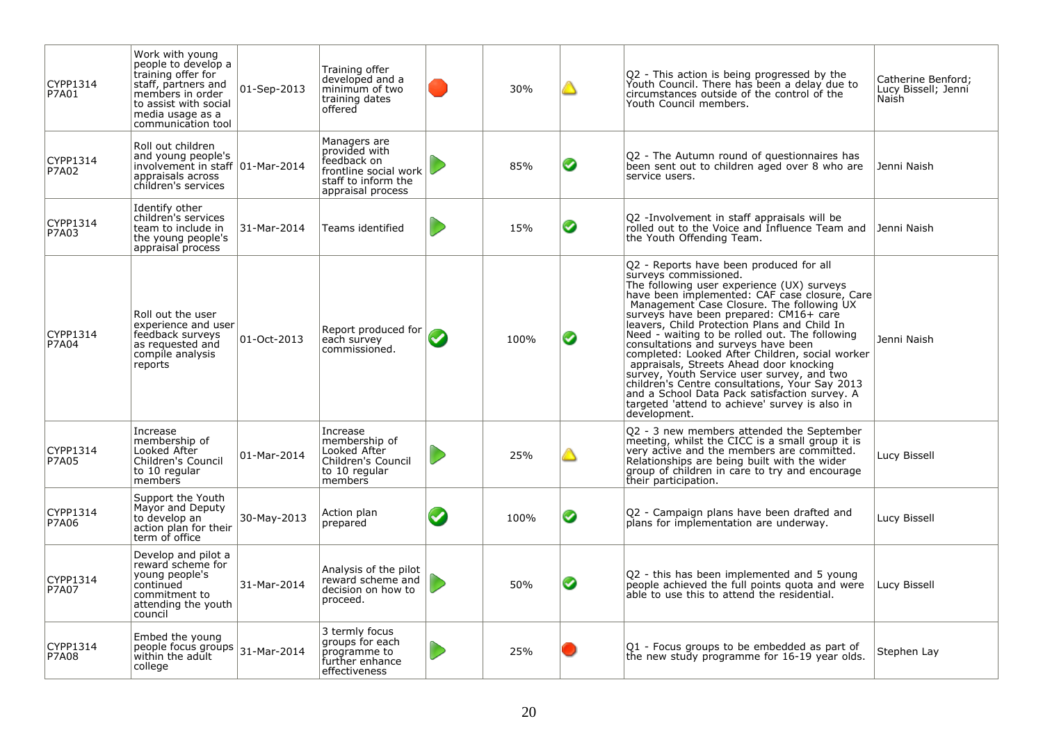| CYPP1314<br>P7A01        | Work with young<br>people to develop a<br>training offer for<br>staff, partners and<br>members in order<br>to assist with social<br>media usage as a<br>communication tool | 01-Sep-2013 | Training offer<br>developed and a<br>minimum of two<br>training dates<br>offered                                  |                         | 30%  |   | Q2 - This action is being progressed by the<br>Youth Council. There has been a delay due to<br>circumstances outside of the control of the<br>Youth Council members.                                                                                                                                                                                                                                                                                                                                                                                                                                                                                                                                             | Catherine Benford:<br>Lucy Bissell; Jenni<br>Naish |
|--------------------------|----------------------------------------------------------------------------------------------------------------------------------------------------------------------------|-------------|-------------------------------------------------------------------------------------------------------------------|-------------------------|------|---|------------------------------------------------------------------------------------------------------------------------------------------------------------------------------------------------------------------------------------------------------------------------------------------------------------------------------------------------------------------------------------------------------------------------------------------------------------------------------------------------------------------------------------------------------------------------------------------------------------------------------------------------------------------------------------------------------------------|----------------------------------------------------|
| CYPP1314<br>P7A02        | Roll out children<br>and young people's<br>involvement in staff   01-Mar-2014<br>appraisals across<br>children's services                                                  |             | Managers are<br>provided with<br>feedback on<br>frontline social work<br>staff to inform the<br>appraisal process |                         | 85%  | Ø | Q2 - The Autumn round of questionnaires has<br>been sent out to children aged over 8 who are<br>service users.                                                                                                                                                                                                                                                                                                                                                                                                                                                                                                                                                                                                   | Jenni Naish                                        |
| CYPP1314<br>P7A03        | Identify other<br>children's services<br>team to include in<br>the young people's<br>appraisal process                                                                     | 31-Mar-2014 | Teams identified                                                                                                  |                         | 15%  | ◙ | Q2 -Involvement in staff appraisals will be<br>rolled out to the Voice and Influence Team and<br>the Youth Offending Team.                                                                                                                                                                                                                                                                                                                                                                                                                                                                                                                                                                                       | Jenni Naish                                        |
| CYPP1314<br>P7A04        | Roll out the user<br>experience and user<br>feedback surveys<br>as reguested and<br>compile analysis<br>reports                                                            | 01-Oct-2013 | Report produced for<br>each survey<br>commissioned.                                                               | $\blacktriangledown$    | 100% | ◙ | Q2 - Reports have been produced for all<br>surveys commissioned.<br>The following user experience (UX) surveys<br>have been implemented: CAF case closure, Care<br>Management Case Closure. The following UX<br>surveys have been prepared: CM16+ care<br>leavers, Child Protection Plans and Child In<br>Need - waiting to be rolled out. The following<br>consultations and surveys have been<br>completed: Looked After Children, social worker<br>appraisals, Streets Ahead door knocking<br>survey, Youth Service user survey, and two<br>children's Centre consultations, Your Say 2013<br>and a School Data Pack satisfaction survey. A<br>targeted 'attend to achieve' survey is also in<br>development. | Jenni Naish                                        |
| CYPP1314<br>P7A05        | Increase<br>membership of<br>Looked After<br>Children's Council<br>to 10 regular<br>members                                                                                | 01-Mar-2014 | Increase<br>membership of<br>Looked After<br>Children's Council<br>to 10 regular<br>members                       |                         | 25%  |   | Q2 - 3 new members attended the September<br>meeting, whilst the CICC is a small group it is<br>very active and the members are committed.<br>Relationships are being built with the wider<br>group of children in care to try and encourage<br>their participation.                                                                                                                                                                                                                                                                                                                                                                                                                                             | Lucy Bissell                                       |
| CYPP1314<br><b>P7A06</b> | Support the Youth<br>Mayor and Deputy<br>to develop an<br>action plan for their<br>term of office                                                                          | 30-May-2013 | Action plan<br>prepared                                                                                           | $\boldsymbol{\epsilon}$ | 100% | ◕ | O2 - Campaign plans have been drafted and<br>plans for implementation are underway.                                                                                                                                                                                                                                                                                                                                                                                                                                                                                                                                                                                                                              | Lucy Bissell                                       |
| CYPP1314<br>P7A07        | Develop and pilot a<br>reward scheme for<br>young people's<br>continued<br>commitment to<br>attending the youth<br>council                                                 | 31-Mar-2014 | Analysis of the pilot<br>reward scheme and<br>decision on how to<br>proceed.                                      |                         | 50%  | ◙ | Q2 - this has been implemented and 5 young<br>people achieved the full points quota and were<br>able to use this to attend the residential.                                                                                                                                                                                                                                                                                                                                                                                                                                                                                                                                                                      | Lucy Bissell                                       |
| CYPP1314<br><b>P7A08</b> | Embed the young<br>people focus groups<br>within the adult<br>college                                                                                                      | 31-Mar-2014 | 3 termly focus<br>groups for each<br>programme to<br>further enhance<br>effectiveness                             |                         | 25%  |   | Q1 - Focus groups to be embedded as part of<br>the new study programme for 16-19 year olds.                                                                                                                                                                                                                                                                                                                                                                                                                                                                                                                                                                                                                      | Stephen Lay                                        |